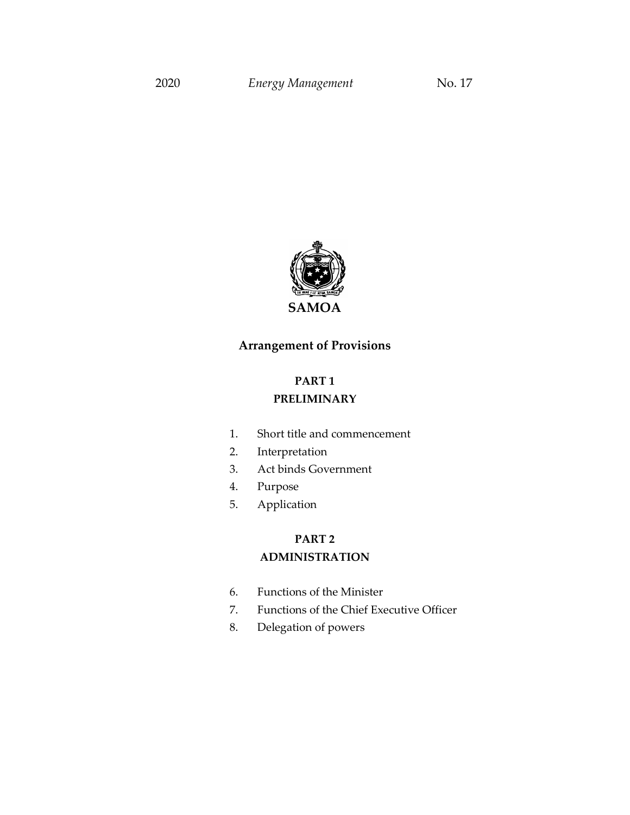

## **Arrangement of Provisions**

## **PART 1 PRELIMINARY**

- 1. Short title and commencement
- 2. Interpretation
- 3. Act binds Government
- 4. Purpose
- 5. Application

# **PART 2 ADMINISTRATION**

- 6. Functions of the Minister
- 7. Functions of the Chief Executive Officer
- 8. Delegation of powers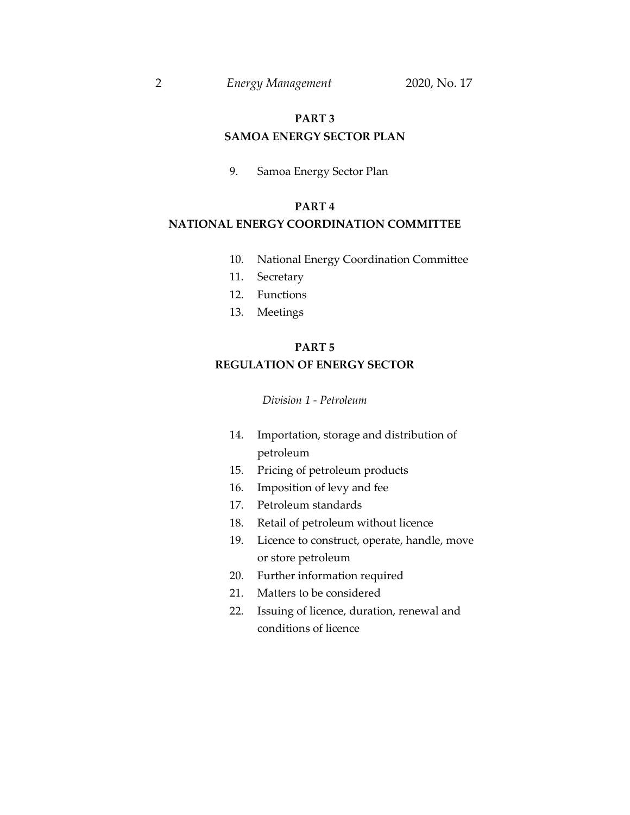# **PART 3**

## **SAMOA ENERGY SECTOR PLAN**

9. Samoa Energy Sector Plan

## **PART 4**

## **NATIONAL ENERGY COORDINATION COMMITTEE**

- 10. National Energy Coordination Committee
- 11. Secretary
- 12. Functions
- 13. Meetings

## **PART 5**

## **REGULATION OF ENERGY SECTOR**

*Division 1 - Petroleum* 

- 14. Importation, storage and distribution of petroleum
- 15. Pricing of petroleum products
- 16. Imposition of levy and fee
- 17. Petroleum standards
- 18. Retail of petroleum without licence
- 19. Licence to construct, operate, handle, move or store petroleum
- 20. Further information required
- 21. Matters to be considered
- 22. Issuing of licence, duration, renewal and conditions of licence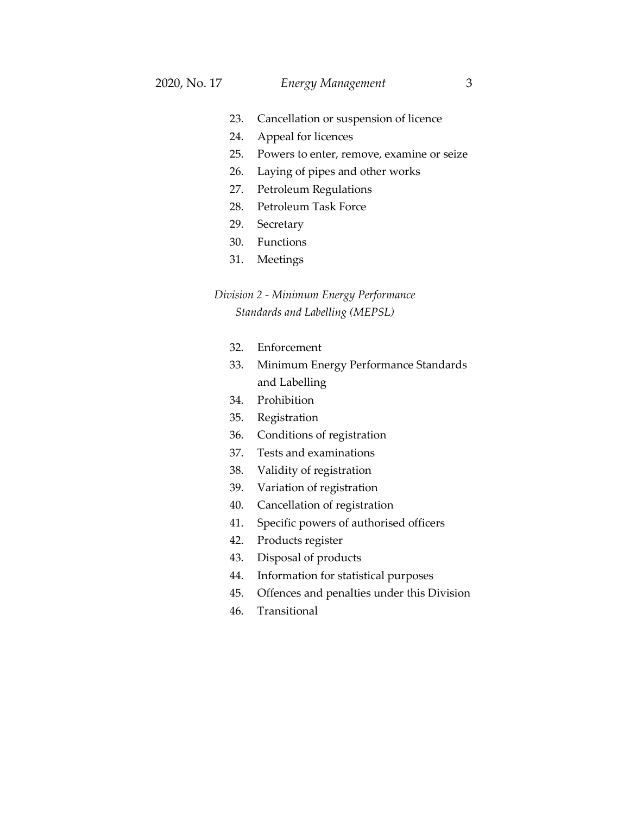- 23. Cancellation or suspension of licence
- 24. Appeal for licences
- 25. Powers to enter, remove, examine or seize
- 26. Laying of pipes and other works
- 27. Petroleum Regulations
- 28. Petroleum Task Force
- 29. Secretary
- 30. Functions
- 31. Meetings

## *Division 2 - Minimum Energy Performance Standards and Labelling (MEPSL)*

- 32. Enforcement
- 33. Minimum Energy Performance Standards and Labelling
- 34. Prohibition
- 35. Registration
- 36. Conditions of registration
- 37. Tests and examinations
- 38. Validity of registration
- 39. Variation of registration
- 40. Cancellation of registration
- 41. Specific powers of authorised officers
- 42. Products register
- 43. Disposal of products
- 44. Information for statistical purposes
- 45. Offences and penalties under this Division
- 46. Transitional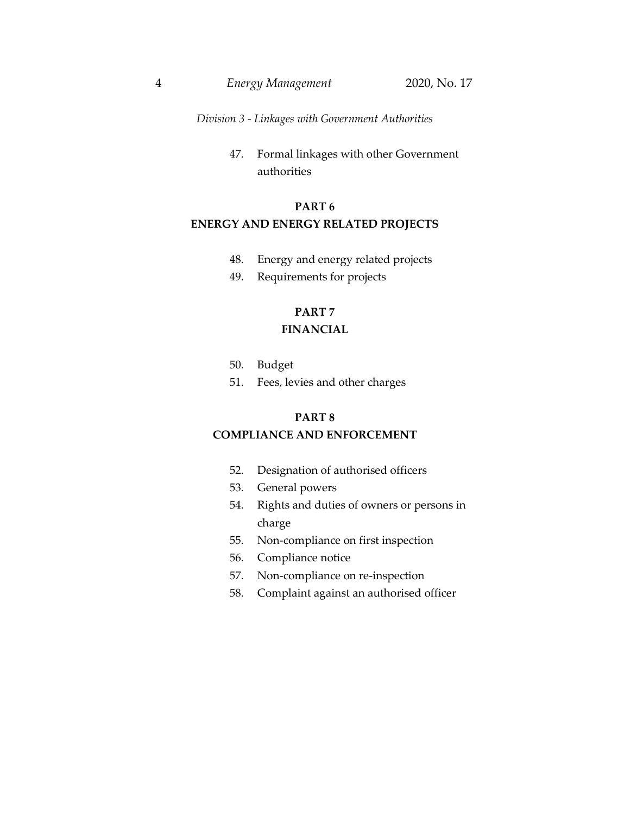*Division 3 - Linkages with Government Authorities*

47. Formal linkages with other Government authorities

## **PART 6 ENERGY AND ENERGY RELATED PROJECTS**

- 48. Energy and energy related projects
- 49. Requirements for projects

## **PART 7**

## **FINANCIAL**

- 50. Budget
- 51. Fees, levies and other charges

#### **PART 8**

## **COMPLIANCE AND ENFORCEMENT**

- 52. Designation of authorised officers
- 53. General powers
- 54. Rights and duties of owners or persons in charge
- 55. Non-compliance on first inspection
- 56. Compliance notice
- 57. Non-compliance on re-inspection
- 58. Complaint against an authorised officer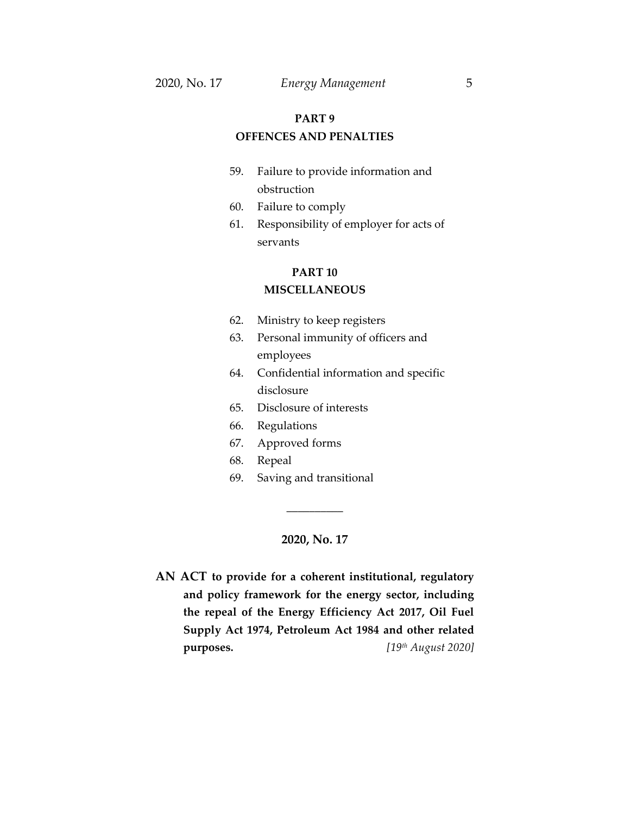## **PART 9 OFFENCES AND PENALTIES**

- 59. Failure to provide information and obstruction
- 60. Failure to comply
- 61. Responsibility of employer for acts of servants

## **PART 10 MISCELLANEOUS**

- 62. Ministry to keep registers
- 63. Personal immunity of officers and employees
- 64. Confidential information and specific disclosure
- 65. Disclosure of interests
- 66. Regulations
- 67. Approved forms
- 68. Repeal
- 69. Saving and transitional

#### **2020, No. 17**

\_\_\_\_\_\_\_\_\_\_

**AN ACT to provide for a coherent institutional, regulatory and policy framework for the energy sector, including the repeal of the Energy Efficiency Act 2017, Oil Fuel Supply Act 1974, Petroleum Act 1984 and other related purposes.**  $[19<sup>th</sup> August 2020]$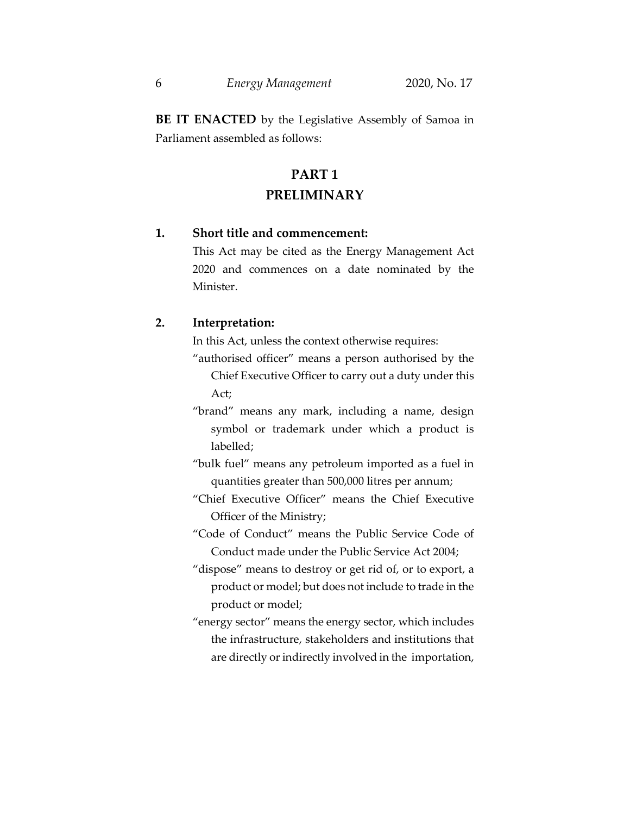**BE IT ENACTED** by the Legislative Assembly of Samoa in Parliament assembled as follows:

# **PART 1 PRELIMINARY**

## **1. Short title and commencement:**

This Act may be cited as the Energy Management Act 2020 and commences on a date nominated by the Minister.

## **2. Interpretation:**

In this Act, unless the context otherwise requires:

- "authorised officer" means a person authorised by the Chief Executive Officer to carry out a duty under this Act;
- "brand" means any mark, including a name, design symbol or trademark under which a product is labelled;
- "bulk fuel" means any petroleum imported as a fuel in quantities greater than 500,000 litres per annum;
- "Chief Executive Officer" means the Chief Executive Officer of the Ministry;
- "Code of Conduct" means the Public Service Code of Conduct made under the Public Service Act 2004;
- "dispose" means to destroy or get rid of, or to export, a product or model; but does not include to trade in the product or model;
- "energy sector" means the energy sector, which includes the infrastructure, stakeholders and institutions that are directly or indirectly involved in the importation,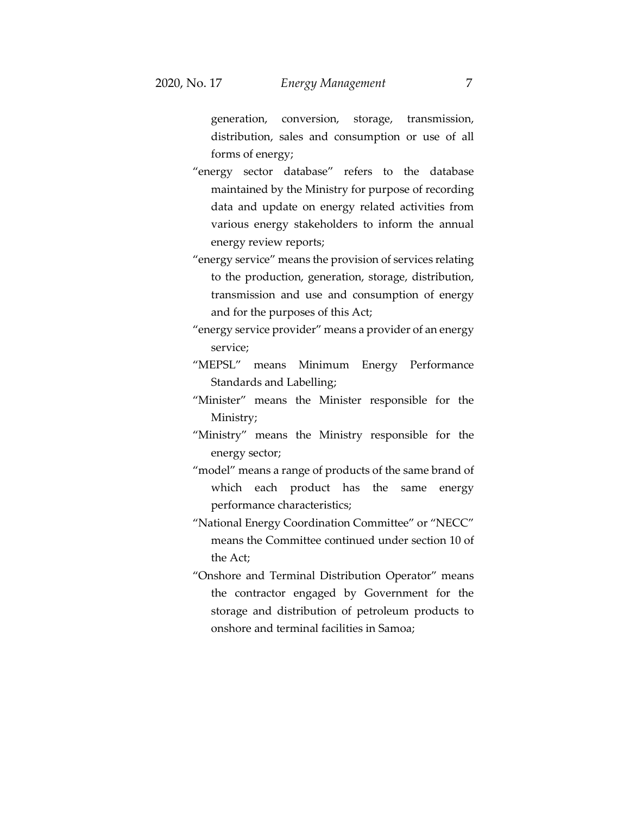generation, conversion, storage, transmission, distribution, sales and consumption or use of all forms of energy;

- "energy sector database" refers to the database maintained by the Ministry for purpose of recording data and update on energy related activities from various energy stakeholders to inform the annual energy review reports;
- "energy service" means the provision of services relating to the production, generation, storage, distribution, transmission and use and consumption of energy and for the purposes of this Act;
- "energy service provider" means a provider of an energy service;
- "MEPSL" means Minimum Energy Performance Standards and Labelling;
- "Minister" means the Minister responsible for the Ministry;
- "Ministry" means the Ministry responsible for the energy sector;
- "model" means a range of products of the same brand of which each product has the same energy performance characteristics;
- "National Energy Coordination Committee" or "NECC" means the Committee continued under section 10 of the Act;
- "Onshore and Terminal Distribution Operator" means the contractor engaged by Government for the storage and distribution of petroleum products to onshore and terminal facilities in Samoa;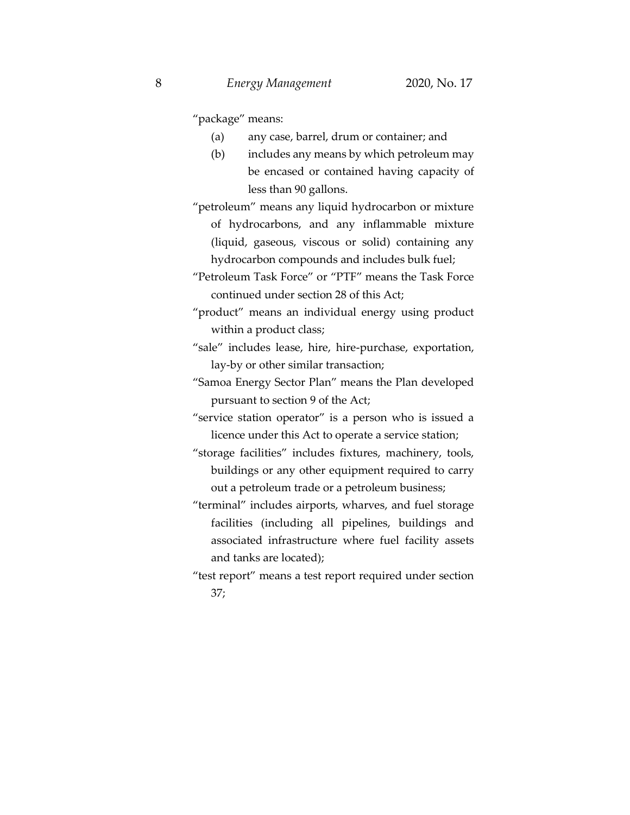"package" means:

- (a) any case, barrel, drum or container; and
- (b) includes any means by which petroleum may be encased or contained having capacity of less than 90 gallons.

"petroleum" means any liquid hydrocarbon or mixture of hydrocarbons, and any inflammable mixture (liquid, gaseous, viscous or solid) containing any hydrocarbon compounds and includes bulk fuel;

"Petroleum Task Force" or "PTF" means the Task Force continued under section 28 of this Act;

- "product" means an individual energy using product within a product class;
- "sale" includes lease, hire, hire-purchase, exportation, lay-by or other similar transaction;
- "Samoa Energy Sector Plan" means the Plan developed pursuant to section 9 of the Act;

"service station operator" is a person who is issued a licence under this Act to operate a service station;

"storage facilities" includes fixtures, machinery, tools, buildings or any other equipment required to carry out a petroleum trade or a petroleum business;

"terminal" includes airports, wharves, and fuel storage facilities (including all pipelines, buildings and associated infrastructure where fuel facility assets and tanks are located);

"test report" means a test report required under section 37;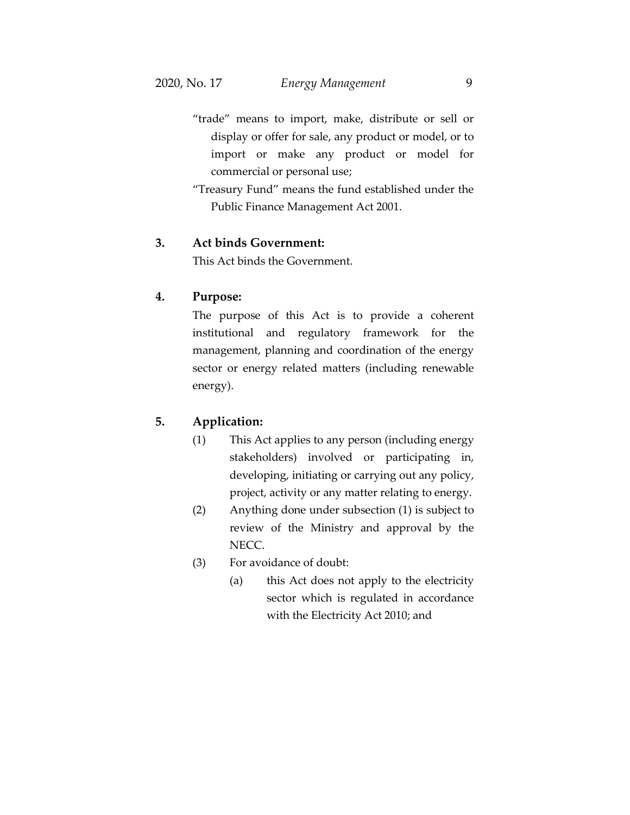- "trade" means to import, make, distribute or sell or display or offer for sale, any product or model, or to import or make any product or model for commercial or personal use;
- "Treasury Fund" means the fund established under the Public Finance Management Act 2001.

### **3. Act binds Government:**

This Act binds the Government.

#### **4. Purpose:**

The purpose of this Act is to provide a coherent institutional and regulatory framework for the management, planning and coordination of the energy sector or energy related matters (including renewable energy).

### **5. Application:**

- (1) This Act applies to any person (including energy stakeholders) involved or participating in, developing, initiating or carrying out any policy, project, activity or any matter relating to energy.
- (2) Anything done under subsection (1) is subject to review of the Ministry and approval by the NECC.
- (3) For avoidance of doubt:
	- (a) this Act does not apply to the electricity sector which is regulated in accordance with the Electricity Act 2010; and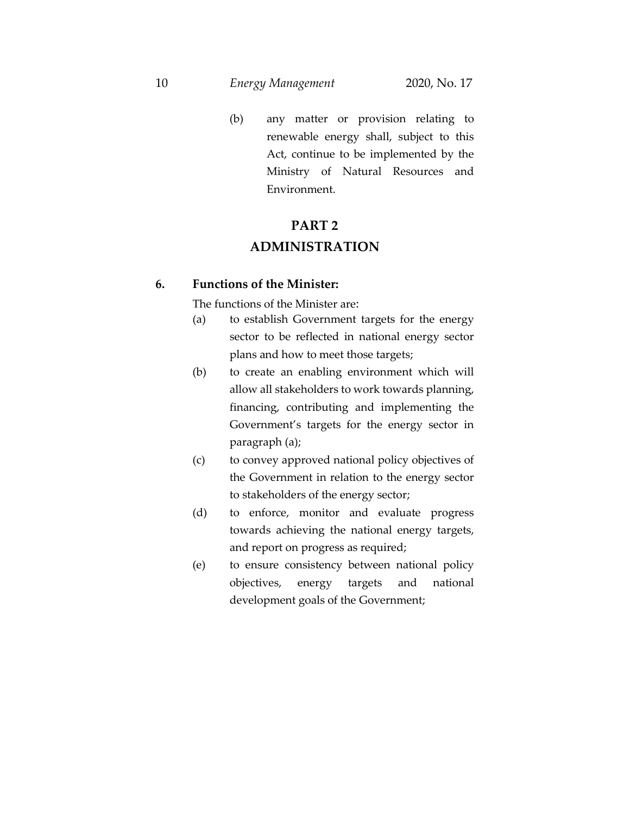#### 10 *Energy Management* 2020, No. 17

(b) any matter or provision relating to renewable energy shall, subject to this Act, continue to be implemented by the Ministry of Natural Resources and Environment.

# **PART 2 ADMINISTRATION**

#### **6. Functions of the Minister:**

The functions of the Minister are:

- (a) to establish Government targets for the energy sector to be reflected in national energy sector plans and how to meet those targets;
- (b) to create an enabling environment which will allow all stakeholders to work towards planning, financing, contributing and implementing the Government's targets for the energy sector in paragraph (a);
- (c) to convey approved national policy objectives of the Government in relation to the energy sector to stakeholders of the energy sector;
- (d) to enforce, monitor and evaluate progress towards achieving the national energy targets, and report on progress as required;
- (e) to ensure consistency between national policy objectives, energy targets and national development goals of the Government;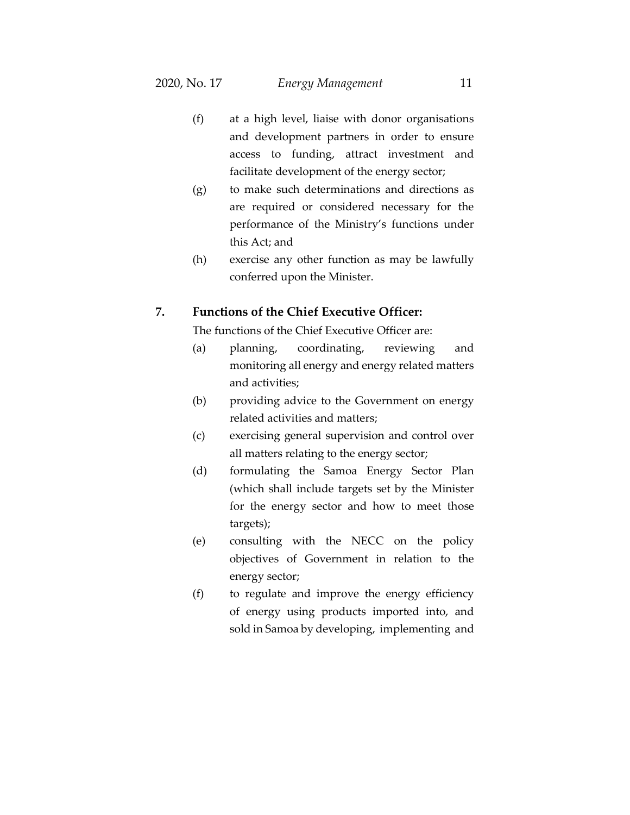- (f) at a high level, liaise with donor organisations and development partners in order to ensure access to funding, attract investment and facilitate development of the energy sector;
- (g) to make such determinations and directions as are required or considered necessary for the performance of the Ministry's functions under this Act; and
- (h) exercise any other function as may be lawfully conferred upon the Minister.

## **7. Functions of the Chief Executive Officer:**

The functions of the Chief Executive Officer are:

- (a) planning, coordinating, reviewing and monitoring all energy and energy related matters and activities;
- (b) providing advice to the Government on energy related activities and matters;
- (c) exercising general supervision and control over all matters relating to the energy sector;
- (d) formulating the Samoa Energy Sector Plan (which shall include targets set by the Minister for the energy sector and how to meet those targets);
- (e) consulting with the NECC on the policy objectives of Government in relation to the energy sector;
- (f) to regulate and improve the energy efficiency of energy using products imported into, and sold in Samoa by developing, implementing and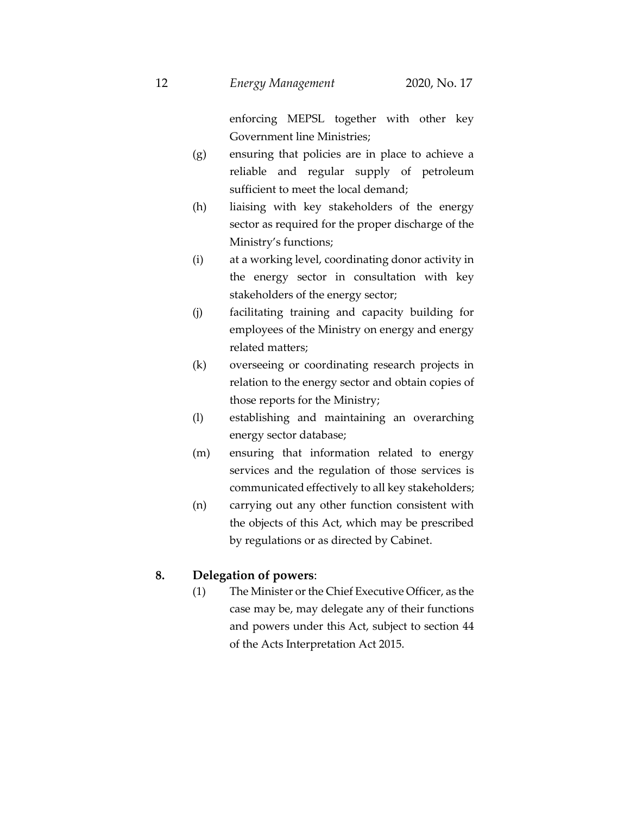enforcing MEPSL together with other key Government line Ministries;

- (g) ensuring that policies are in place to achieve a reliable and regular supply of petroleum sufficient to meet the local demand;
- (h) liaising with key stakeholders of the energy sector as required for the proper discharge of the Ministry's functions;
- (i) at a working level, coordinating donor activity in the energy sector in consultation with key stakeholders of the energy sector;
- (j) facilitating training and capacity building for employees of the Ministry on energy and energy related matters;
- (k) overseeing or coordinating research projects in relation to the energy sector and obtain copies of those reports for the Ministry;
- (l) establishing and maintaining an overarching energy sector database;
- (m) ensuring that information related to energy services and the regulation of those services is communicated effectively to all key stakeholders;
- (n) carrying out any other function consistent with the objects of this Act, which may be prescribed by regulations or as directed by Cabinet.

## **8. Delegation of powers**:

(1) The Minister or the Chief Executive Officer, as the case may be, may delegate any of their functions and powers under this Act, subject to section 44 of the Acts Interpretation Act 2015.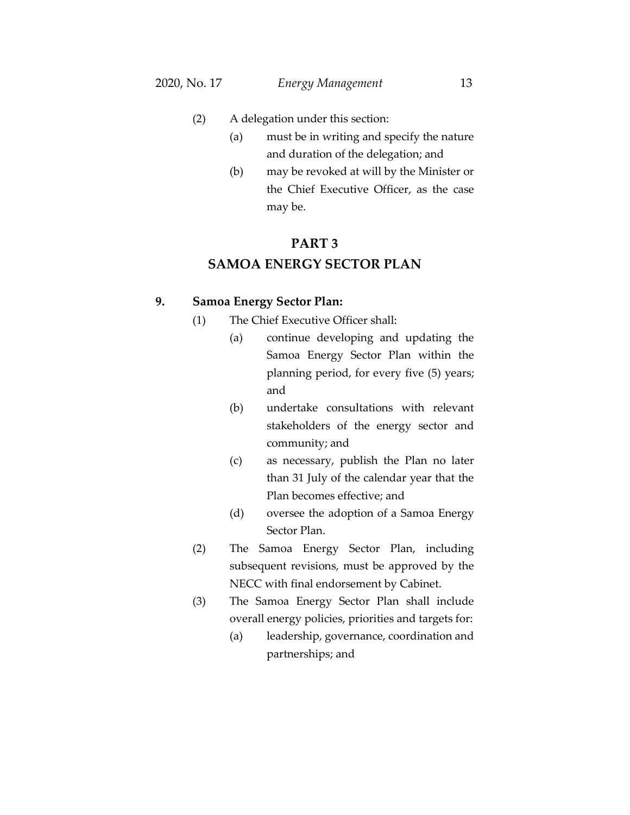- (2) A delegation under this section:
	- (a) must be in writing and specify the nature and duration of the delegation; and
	- (b) may be revoked at will by the Minister or the Chief Executive Officer, as the case may be.

## **PART 3**

## **SAMOA ENERGY SECTOR PLAN**

## **9. Samoa Energy Sector Plan:**

- (1) The Chief Executive Officer shall:
	- (a) continue developing and updating the Samoa Energy Sector Plan within the planning period, for every five (5) years; and
	- (b) undertake consultations with relevant stakeholders of the energy sector and community; and
	- (c) as necessary, publish the Plan no later than 31 July of the calendar year that the Plan becomes effective; and
	- (d) oversee the adoption of a Samoa Energy Sector Plan.
- (2) The Samoa Energy Sector Plan, including subsequent revisions, must be approved by the NECC with final endorsement by Cabinet.
- (3) The Samoa Energy Sector Plan shall include overall energy policies, priorities and targets for:
	- (a) leadership, governance, coordination and partnerships; and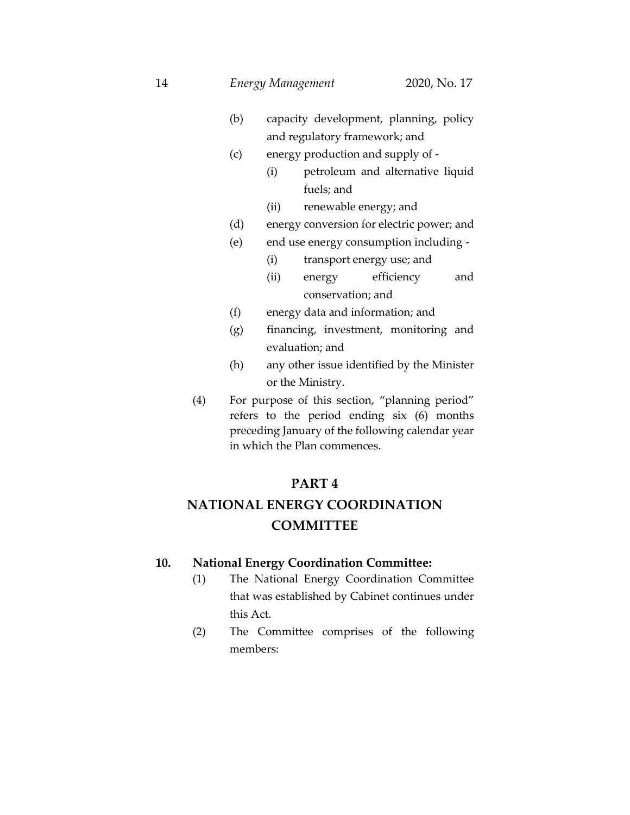- (b) capacity development, planning, policy and regulatory framework; and
- (c) energy production and supply of
	- (i) petroleum and alternative liquid fuels; and
	- (ii) renewable energy; and
- (d) energy conversion for electric power; and
- (e) end use energy consumption including
	- (i) transport energy use; and
	- (ii) energy efficiency and conservation; and
- (f) energy data and information; and
- (g) financing, investment, monitoring and evaluation; and
- (h) any other issue identified by the Minister or the Ministry.
- (4) For purpose of this section, "planning period" refers to the period ending six (6) months preceding January of the following calendar year in which the Plan commences.

## **PART 4**

# **NATIONAL ENERGY COORDINATION COMMITTEE**

## **10. National Energy Coordination Committee:**

- (1) The National Energy Coordination Committee that was established by Cabinet continues under this Act.
- (2) The Committee comprises of the following members: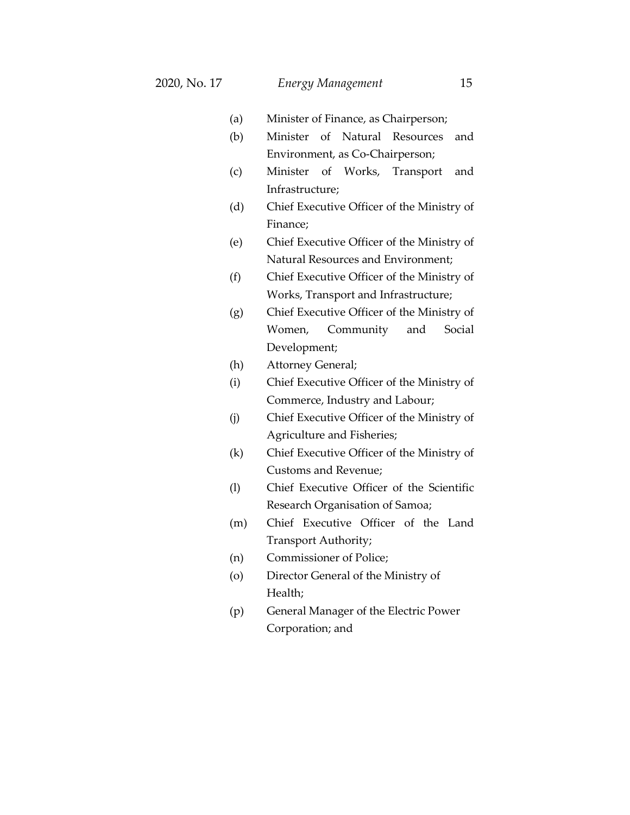- (a) Minister of Finance, as Chairperson;
- (b) Minister of Natural Resources and Environment, as Co-Chairperson;
- (c) Minister of Works, Transport and Infrastructure;
- (d) Chief Executive Officer of the Ministry of Finance;
- (e) Chief Executive Officer of the Ministry of Natural Resources and Environment;
- (f) Chief Executive Officer of the Ministry of Works, Transport and Infrastructure;
- (g) Chief Executive Officer of the Ministry of Women, Community and Social Development;
- (h) Attorney General;
- (i) Chief Executive Officer of the Ministry of Commerce, Industry and Labour;
- (j) Chief Executive Officer of the Ministry of Agriculture and Fisheries;
- (k) Chief Executive Officer of the Ministry of Customs and Revenue;
- (l) Chief Executive Officer of the Scientific Research Organisation of Samoa;
- (m) Chief Executive Officer of the Land Transport Authority;
- (n) Commissioner of Police;
- (o) Director General of the Ministry of Health;
- (p) General Manager of the Electric Power Corporation; and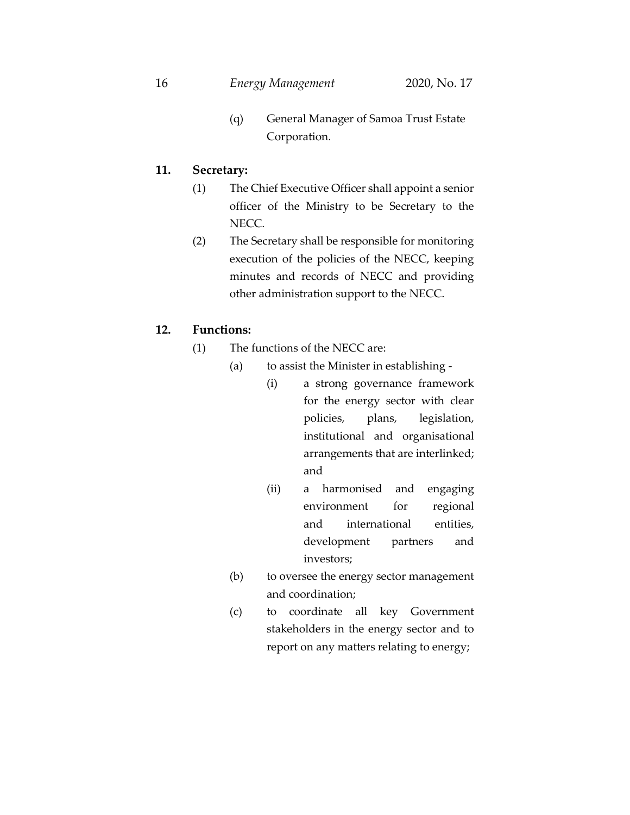(q) General Manager of Samoa Trust Estate Corporation.

## **11. Secretary:**

- (1) The Chief Executive Officer shall appoint a senior officer of the Ministry to be Secretary to the NECC.
- (2) The Secretary shall be responsible for monitoring execution of the policies of the NECC, keeping minutes and records of NECC and providing other administration support to the NECC.

## **12. Functions:**

- (1) The functions of the NECC are:
	- (a) to assist the Minister in establishing
		- (i) a strong governance framework for the energy sector with clear policies, plans, legislation, institutional and organisational arrangements that are interlinked; and
		- (ii) a harmonised and engaging environment for regional and international entities, development partners and investors;
	- (b) to oversee the energy sector management and coordination;
	- (c) to coordinate all key Government stakeholders in the energy sector and to report on any matters relating to energy;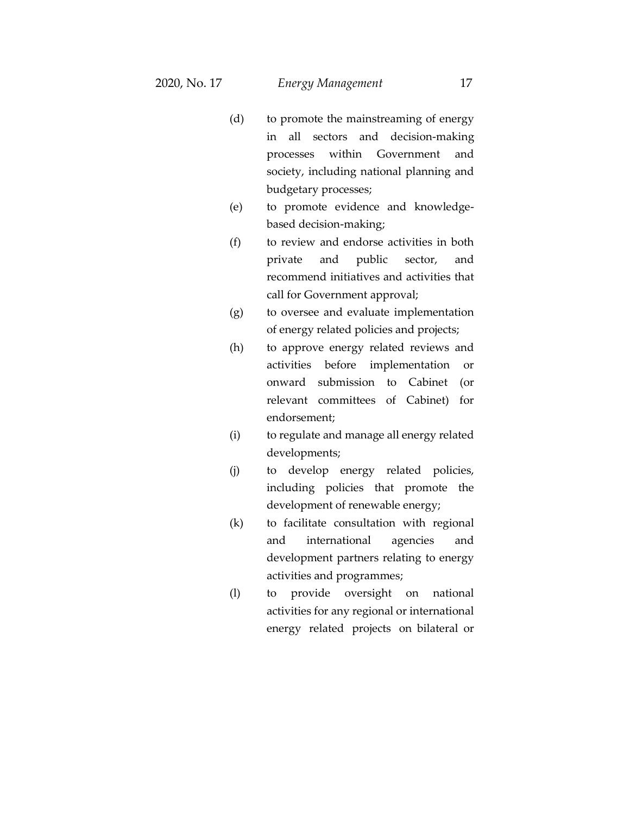- (d) to promote the mainstreaming of energy in all sectors and decision-making processes within Government and society, including national planning and budgetary processes;
- (e) to promote evidence and knowledgebased decision-making;
- (f) to review and endorse activities in both private and public sector, and recommend initiatives and activities that call for Government approval;
- (g) to oversee and evaluate implementation of energy related policies and projects;
- (h) to approve energy related reviews and activities before implementation or onward submission to Cabinet (or relevant committees of Cabinet) for endorsement;
- (i) to regulate and manage all energy related developments;
- (j) to develop energy related policies, including policies that promote the development of renewable energy;
- (k) to facilitate consultation with regional and international agencies and development partners relating to energy activities and programmes;
- (l) to provide oversight on national activities for any regional or international energy related projects on bilateral or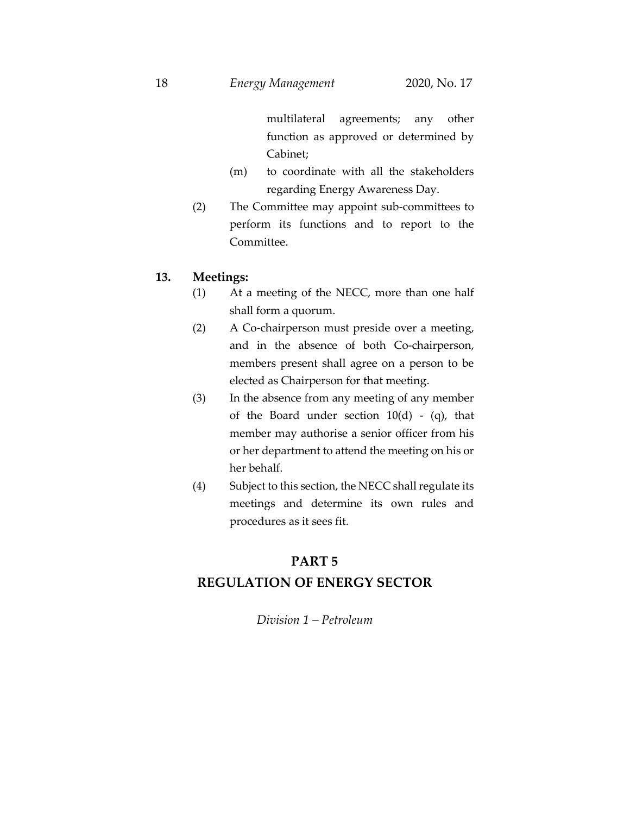multilateral agreements; any other function as approved or determined by Cabinet;

- (m) to coordinate with all the stakeholders regarding Energy Awareness Day.
- (2) The Committee may appoint sub-committees to perform its functions and to report to the Committee.

## **13. Meetings:**

- (1) At a meeting of the NECC, more than one half shall form a quorum.
- (2) A Co-chairperson must preside over a meeting, and in the absence of both Co-chairperson, members present shall agree on a person to be elected as Chairperson for that meeting.
- (3) In the absence from any meeting of any member of the Board under section  $10(d)$  - (q), that member may authorise a senior officer from his or her department to attend the meeting on his or her behalf.
- (4) Subject to this section, the NECC shall regulate its meetings and determine its own rules and procedures as it sees fit.

# **PART 5 REGULATION OF ENERGY SECTOR**

*Division 1 – Petroleum*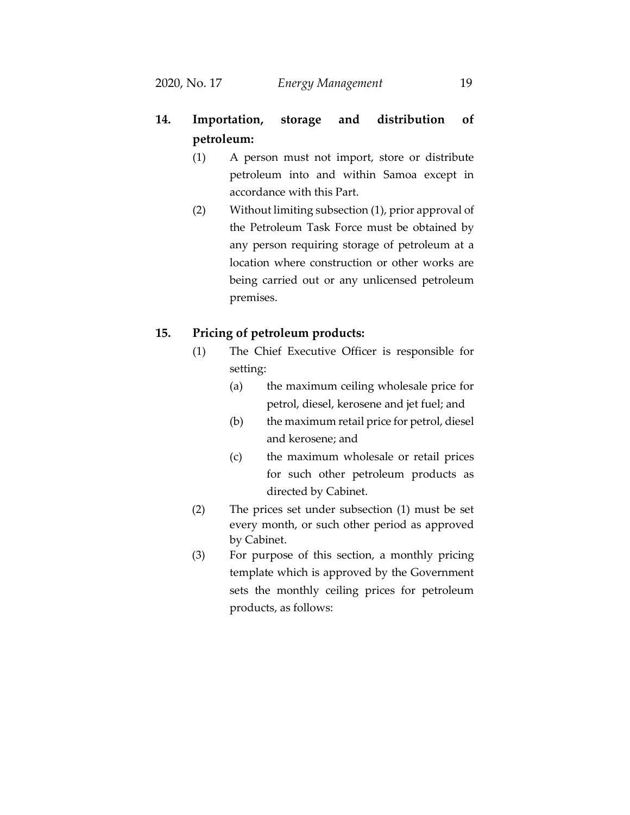- **14. Importation, storage and distribution of petroleum:**
	- (1) A person must not import, store or distribute petroleum into and within Samoa except in accordance with this Part.
	- (2) Without limiting subsection (1), prior approval of the Petroleum Task Force must be obtained by any person requiring storage of petroleum at a location where construction or other works are being carried out or any unlicensed petroleum premises.

## **15. Pricing of petroleum products:**

- (1) The Chief Executive Officer is responsible for setting:
	- (a) the maximum ceiling wholesale price for petrol, diesel, kerosene and jet fuel; and
	- (b) the maximum retail price for petrol, diesel and kerosene; and
	- (c) the maximum wholesale or retail prices for such other petroleum products as directed by Cabinet.
- (2) The prices set under subsection (1) must be set every month, or such other period as approved by Cabinet.
- (3) For purpose of this section, a monthly pricing template which is approved by the Government sets the monthly ceiling prices for petroleum products, as follows: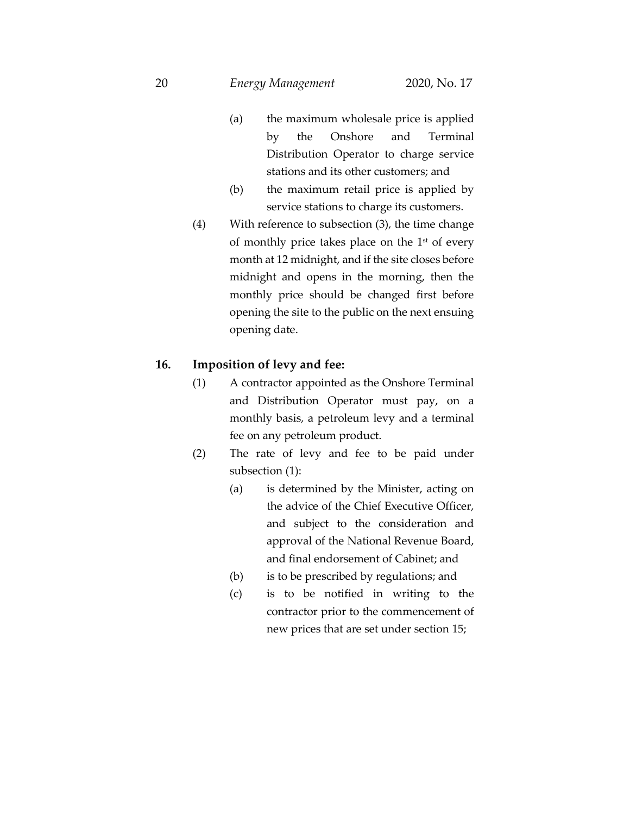#### 20 *Energy Management* 2020, No. 17

- (a) the maximum wholesale price is applied by the Onshore and Terminal Distribution Operator to charge service stations and its other customers; and
- (b) the maximum retail price is applied by service stations to charge its customers.
- (4) With reference to subsection (3), the time change of monthly price takes place on the  $1<sup>st</sup>$  of every month at 12 midnight, and if the site closes before midnight and opens in the morning, then the monthly price should be changed first before opening the site to the public on the next ensuing opening date.

## **16. Imposition of levy and fee:**

- (1) A contractor appointed as the Onshore Terminal and Distribution Operator must pay, on a monthly basis, a petroleum levy and a terminal fee on any petroleum product.
- (2) The rate of levy and fee to be paid under subsection (1):
	- (a) is determined by the Minister, acting on the advice of the Chief Executive Officer, and subject to the consideration and approval of the National Revenue Board, and final endorsement of Cabinet; and
	- (b) is to be prescribed by regulations; and
	- (c) is to be notified in writing to the contractor prior to the commencement of new prices that are set under section 15;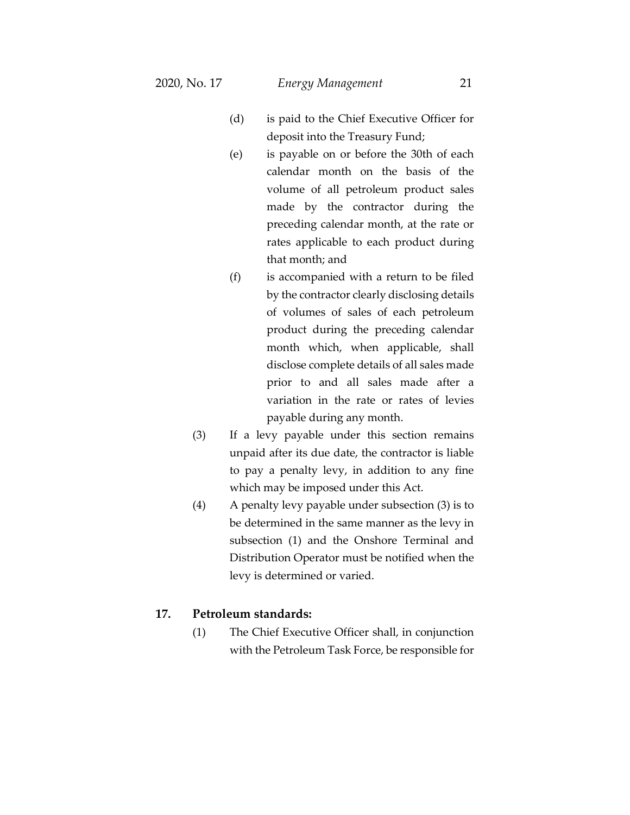- (d) is paid to the Chief Executive Officer for deposit into the Treasury Fund;
- (e) is payable on or before the 30th of each calendar month on the basis of the volume of all petroleum product sales made by the contractor during the preceding calendar month, at the rate or rates applicable to each product during that month; and
- (f) is accompanied with a return to be filed by the contractor clearly disclosing details of volumes of sales of each petroleum product during the preceding calendar month which, when applicable, shall disclose complete details of all sales made prior to and all sales made after a variation in the rate or rates of levies payable during any month.
- (3) If a levy payable under this section remains unpaid after its due date, the contractor is liable to pay a penalty levy, in addition to any fine which may be imposed under this Act.
- (4) A penalty levy payable under subsection (3) is to be determined in the same manner as the levy in subsection (1) and the Onshore Terminal and Distribution Operator must be notified when the levy is determined or varied.

## **17. Petroleum standards:**

(1) The Chief Executive Officer shall, in conjunction with the Petroleum Task Force, be responsible for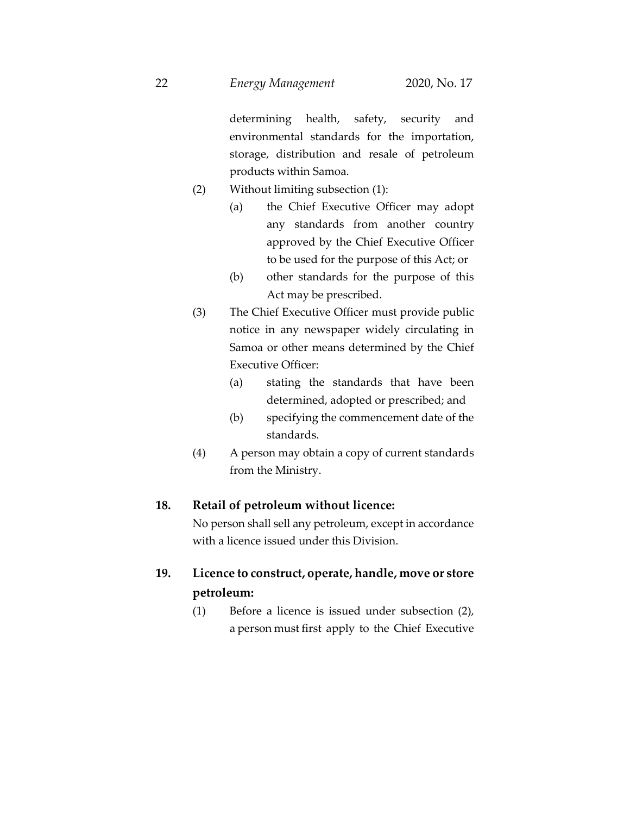determining health, safety, security and environmental standards for the importation, storage, distribution and resale of petroleum products within Samoa.

- (2) Without limiting subsection (1):
	- (a) the Chief Executive Officer may adopt any standards from another country approved by the Chief Executive Officer to be used for the purpose of this Act; or
	- (b) other standards for the purpose of this Act may be prescribed.
- (3) The Chief Executive Officer must provide public notice in any newspaper widely circulating in Samoa or other means determined by the Chief Executive Officer:
	- (a) stating the standards that have been determined, adopted or prescribed; and
	- (b) specifying the commencement date of the standards.
- (4) A person may obtain a copy of current standards from the Ministry.

## **18. Retail of petroleum without licence:**

No person shall sell any petroleum, except in accordance with a licence issued under this Division.

- **19. Licence to construct, operate, handle, move or store petroleum:**
	- (1) Before a licence is issued under subsection (2), a person must first apply to the Chief Executive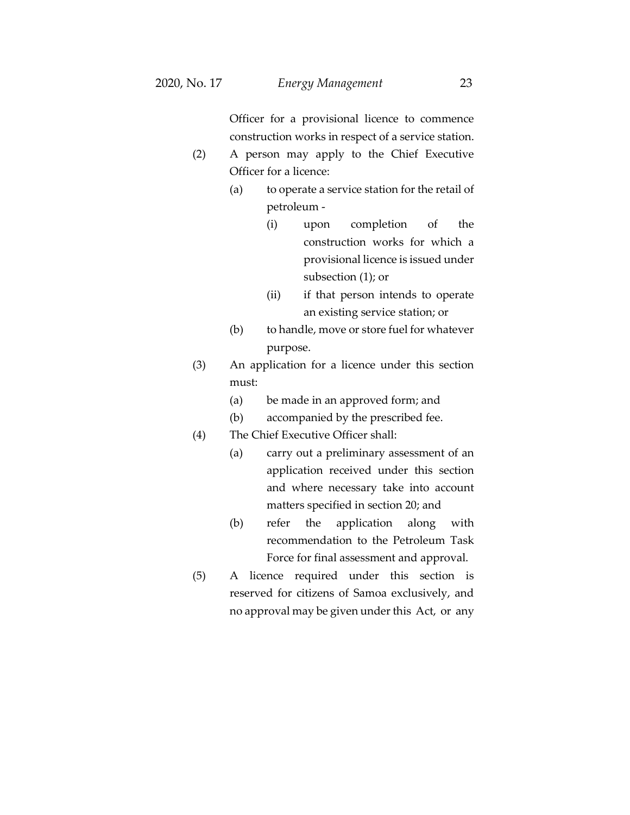Officer for a provisional licence to commence construction works in respect of a service station.

- (2) A person may apply to the Chief Executive Officer for a licence:
	- (a) to operate a service station for the retail of petroleum -
		- (i) upon completion of the construction works for which a provisional licence is issued under subsection (1); or
		- (ii) if that person intends to operate an existing service station; or
	- (b) to handle, move or store fuel for whatever purpose.
- (3) An application for a licence under this section must:
	- (a) be made in an approved form; and
	- (b) accompanied by the prescribed fee.
- (4) The Chief Executive Officer shall:
	- (a) carry out a preliminary assessment of an application received under this section and where necessary take into account matters specified in section 20; and
	- (b) refer the application along with recommendation to the Petroleum Task Force for final assessment and approval.
- (5) A licence required under this section is reserved for citizens of Samoa exclusively, and no approval may be given under this Act, or any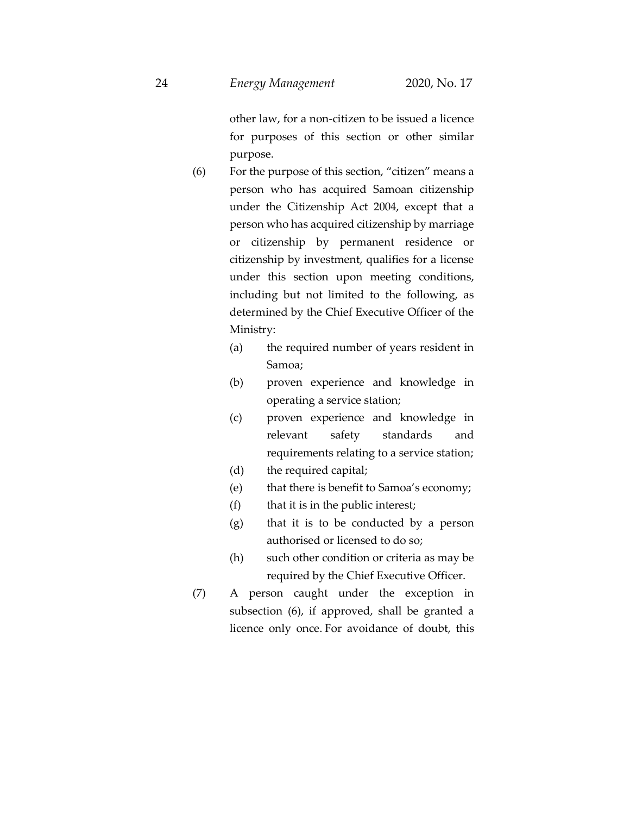other law, for a non-citizen to be issued a licence for purposes of this section or other similar purpose.

- (6) For the purpose of this section, "citizen" means a person who has acquired Samoan citizenship under the Citizenship Act 2004, except that a person who has acquired citizenship by marriage or citizenship by permanent residence or citizenship by investment, qualifies for a license under this section upon meeting conditions, including but not limited to the following, as determined by the Chief Executive Officer of the Ministry:
	- (a) the required number of years resident in Samoa;
	- (b) proven experience and knowledge in operating a service station;
	- (c) proven experience and knowledge in relevant safety standards and requirements relating to a service station;
	- (d) the required capital;
	- (e) that there is benefit to Samoa's economy;
	- $(f)$  that it is in the public interest;
	- (g) that it is to be conducted by a person authorised or licensed to do so;
	- (h) such other condition or criteria as may be required by the Chief Executive Officer.
- (7) A person caught under the exception in subsection (6), if approved, shall be granted a licence only once. For avoidance of doubt, this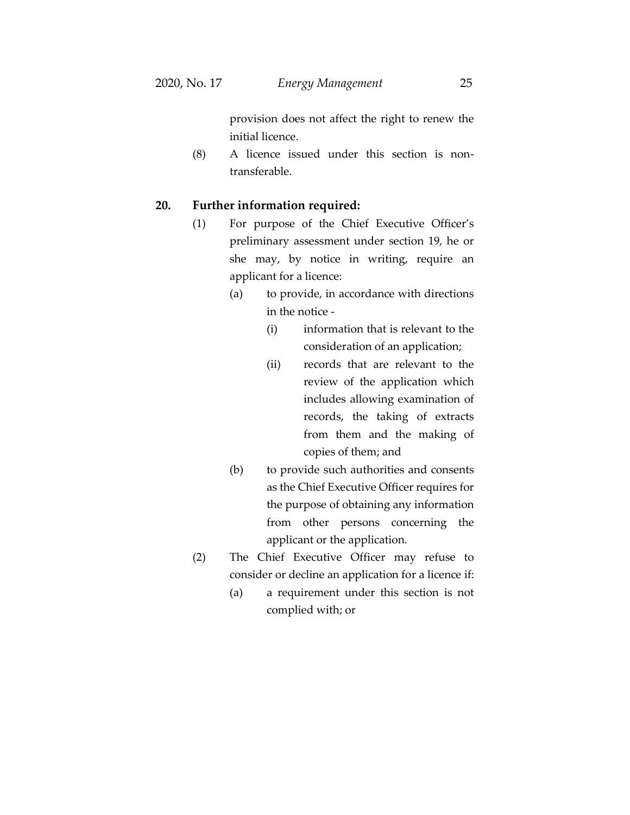provision does not affect the right to renew the initial licence.

(8) A licence issued under this section is nontransferable.

## **20. Further information required:**

- (1) For purpose of the Chief Executive Officer's preliminary assessment under section 19, he or she may, by notice in writing, require an applicant for a licence:
	- (a) to provide, in accordance with directions in the notice -
		- (i) information that is relevant to the consideration of an application;
		- (ii) records that are relevant to the review of the application which includes allowing examination of records, the taking of extracts from them and the making of copies of them; and
	- (b) to provide such authorities and consents as the Chief Executive Officer requires for the purpose of obtaining any information from other persons concerning the applicant or the application.
- (2) The Chief Executive Officer may refuse to consider or decline an application for a licence if:
	- (a) a requirement under this section is not complied with; or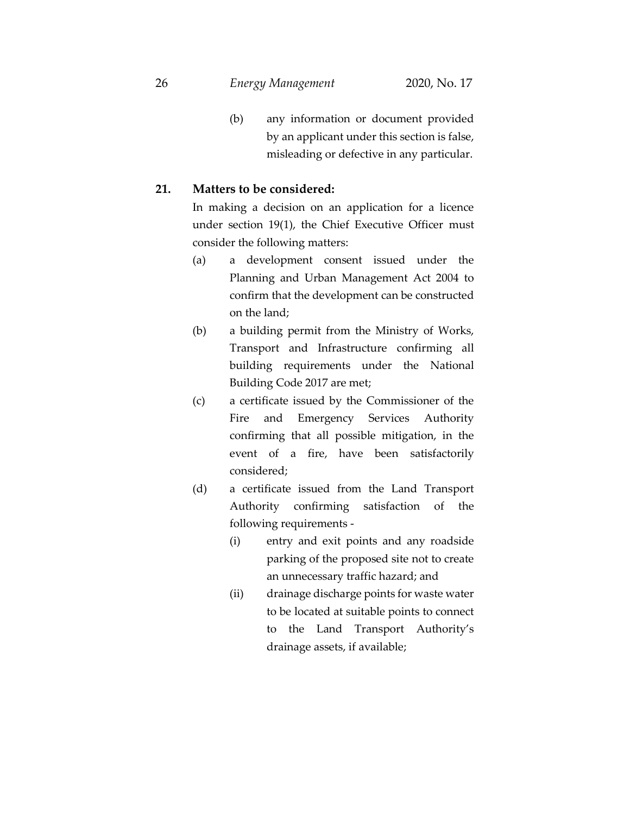26 *Energy Management* 2020, No. 17

(b) any information or document provided by an applicant under this section is false, misleading or defective in any particular.

## **21. Matters to be considered:**

In making a decision on an application for a licence under section 19(1), the Chief Executive Officer must consider the following matters:

- (a) a development consent issued under the Planning and Urban Management Act 2004 to confirm that the development can be constructed on the land;
- (b) a building permit from the Ministry of Works, Transport and Infrastructure confirming all building requirements under the National Building Code 2017 are met;
- (c) a certificate issued by the Commissioner of the Fire and Emergency Services Authority confirming that all possible mitigation, in the event of a fire, have been satisfactorily considered;
- (d) a certificate issued from the Land Transport Authority confirming satisfaction of the following requirements -
	- (i) entry and exit points and any roadside parking of the proposed site not to create an unnecessary traffic hazard; and
	- (ii) drainage discharge points for waste water to be located at suitable points to connect to the Land Transport Authority's drainage assets, if available;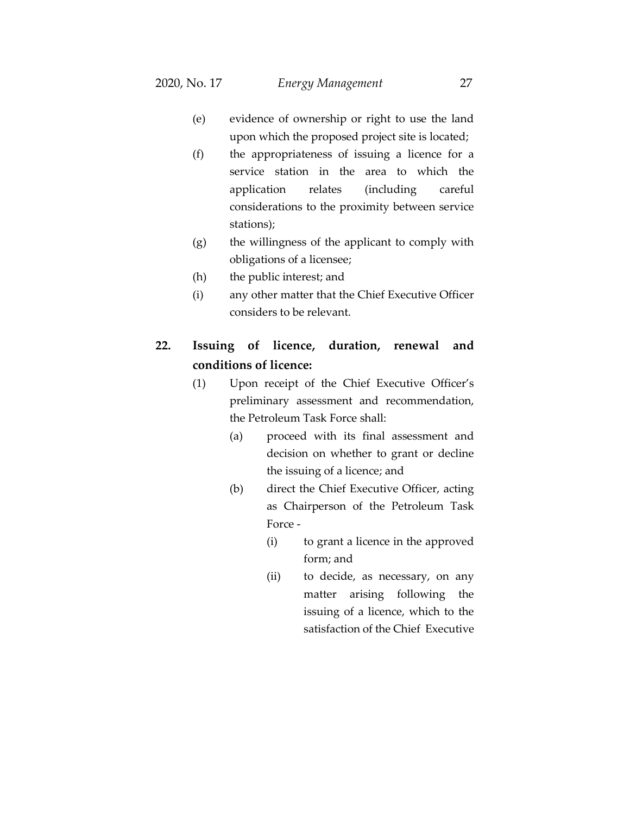- (e) evidence of ownership or right to use the land upon which the proposed project site is located;
- (f) the appropriateness of issuing a licence for a service station in the area to which the application relates (including careful considerations to the proximity between service stations);
- (g) the willingness of the applicant to comply with obligations of a licensee;
- (h) the public interest; and
- (i) any other matter that the Chief Executive Officer considers to be relevant.

# **22. Issuing of licence, duration, renewal and conditions of licence:**

- (1) Upon receipt of the Chief Executive Officer's preliminary assessment and recommendation, the Petroleum Task Force shall:
	- (a) proceed with its final assessment and decision on whether to grant or decline the issuing of a licence; and
	- (b) direct the Chief Executive Officer, acting as Chairperson of the Petroleum Task Force -
		- (i) to grant a licence in the approved form; and
		- (ii) to decide, as necessary, on any matter arising following the issuing of a licence, which to the satisfaction of the Chief Executive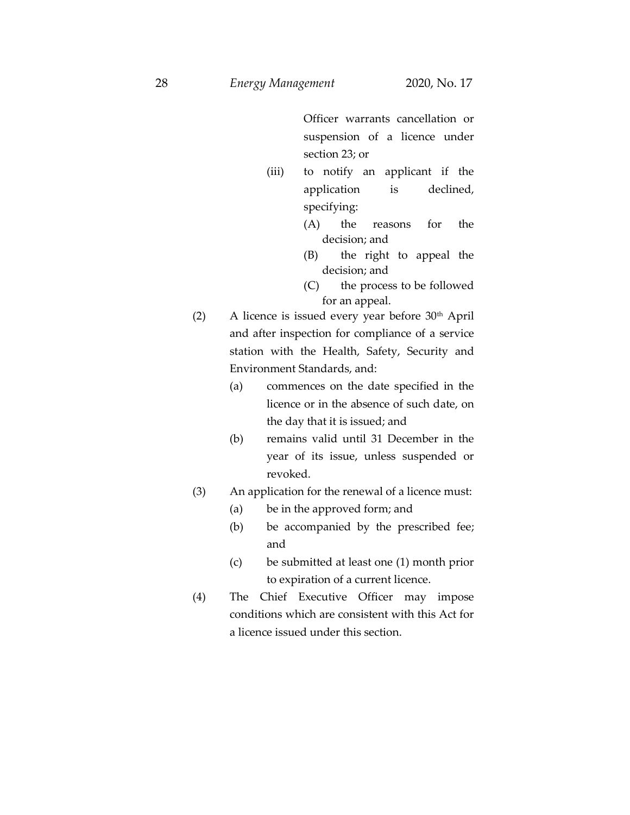Officer warrants cancellation or suspension of a licence under section 23; or

- (iii) to notify an applicant if the application is declined, specifying:
	- (A) the reasons for the decision; and
	- (B) the right to appeal the decision; and
	- (C) the process to be followed for an appeal.
- (2) A licence is issued every year before  $30<sup>th</sup>$  April and after inspection for compliance of a service station with the Health, Safety, Security and Environment Standards, and:
	- (a) commences on the date specified in the licence or in the absence of such date, on the day that it is issued; and
	- (b) remains valid until 31 December in the year of its issue, unless suspended or revoked.
- (3) An application for the renewal of a licence must:
	- (a) be in the approved form; and
	- (b) be accompanied by the prescribed fee; and
	- (c) be submitted at least one (1) month prior to expiration of a current licence.
- (4) The Chief Executive Officer may impose conditions which are consistent with this Act for a licence issued under this section.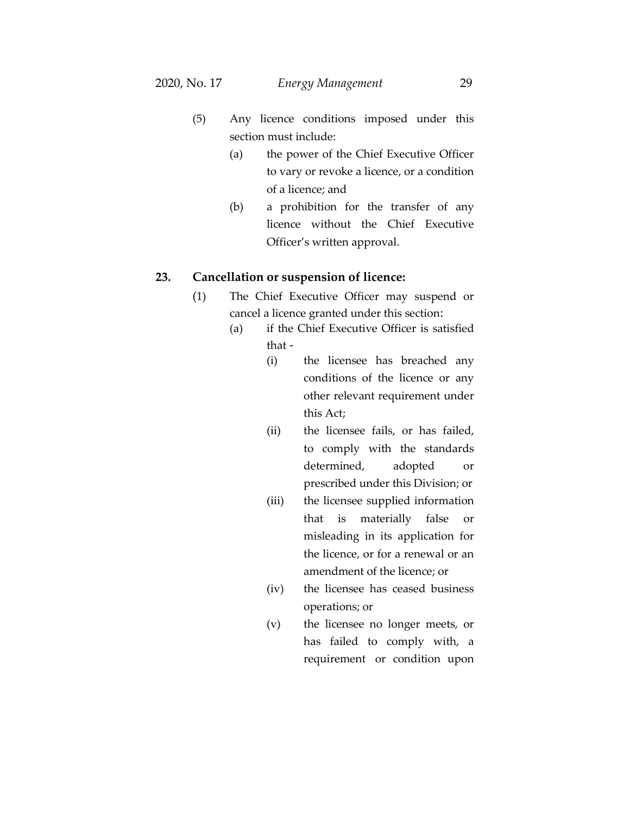- (5) Any licence conditions imposed under this section must include:
	- (a) the power of the Chief Executive Officer to vary or revoke a licence, or a condition of a licence; and
	- (b) a prohibition for the transfer of any licence without the Chief Executive Officer's written approval.

#### **23. Cancellation or suspension of licence:**

- (1) The Chief Executive Officer may suspend or cancel a licence granted under this section:
	- (a) if the Chief Executive Officer is satisfied that -
		- (i) the licensee has breached any conditions of the licence or any other relevant requirement under this Act;
		- (ii) the licensee fails, or has failed, to comply with the standards determined, adopted or prescribed under this Division; or
		- (iii) the licensee supplied information that is materially false or misleading in its application for the licence, or for a renewal or an amendment of the licence; or
		- (iv) the licensee has ceased business operations; or
		- (v) the licensee no longer meets, or has failed to comply with, a requirement or condition upon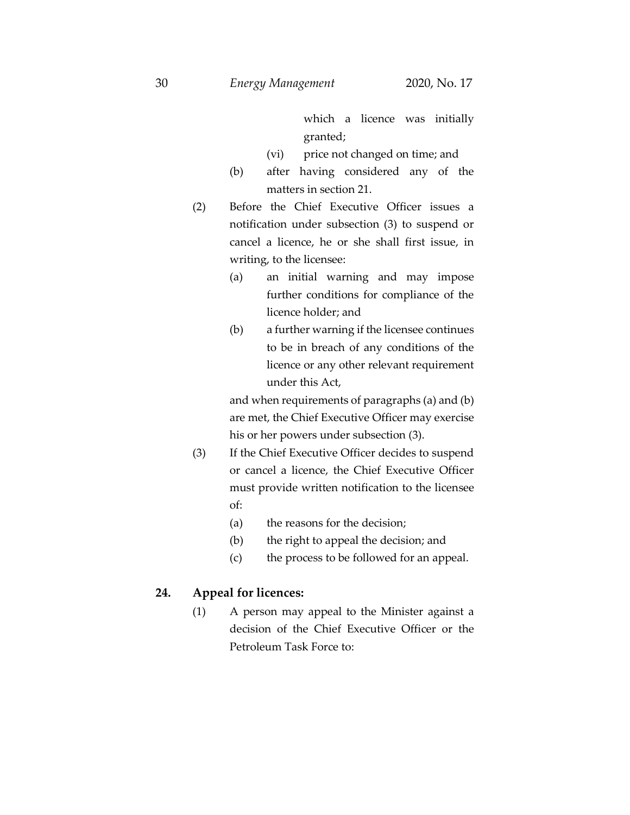which a licence was initially granted;

- (vi) price not changed on time; and
- (b) after having considered any of the matters in section 21.
- (2) Before the Chief Executive Officer issues a notification under subsection (3) to suspend or cancel a licence, he or she shall first issue, in writing, to the licensee:
	- (a) an initial warning and may impose further conditions for compliance of the licence holder; and
	- (b) a further warning if the licensee continues to be in breach of any conditions of the licence or any other relevant requirement under this Act,

and when requirements of paragraphs (a) and (b) are met, the Chief Executive Officer may exercise his or her powers under subsection (3).

- (3) If the Chief Executive Officer decides to suspend or cancel a licence, the Chief Executive Officer must provide written notification to the licensee of:
	- (a) the reasons for the decision;
	- (b) the right to appeal the decision; and
	- (c) the process to be followed for an appeal.

## **24. Appeal for licences:**

(1) A person may appeal to the Minister against a decision of the Chief Executive Officer or the Petroleum Task Force to: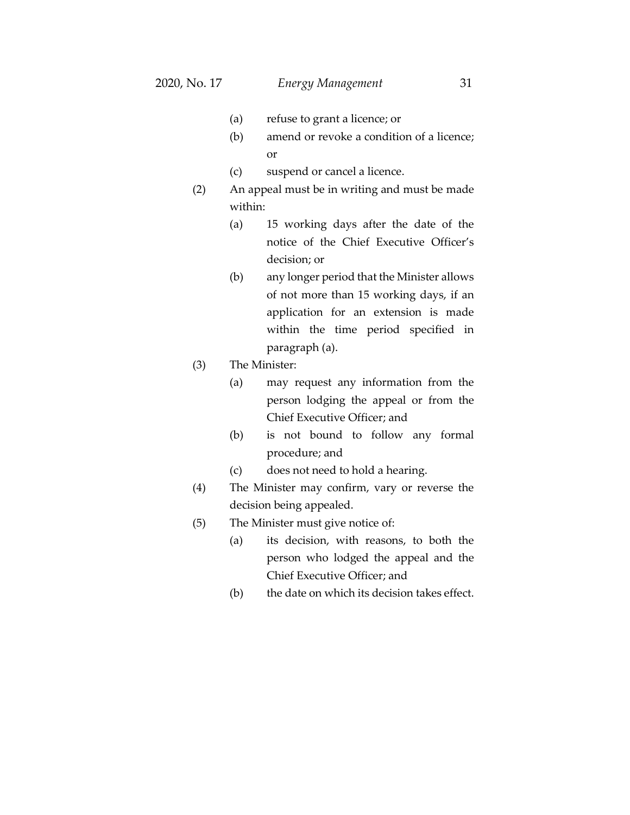- (a) refuse to grant a licence; or
- (b) amend or revoke a condition of a licence; or
- (c) suspend or cancel a licence.
- (2) An appeal must be in writing and must be made within:
	- (a) 15 working days after the date of the notice of the Chief Executive Officer's decision; or
	- (b) any longer period that the Minister allows of not more than 15 working days, if an application for an extension is made within the time period specified in paragraph (a).
- (3) The Minister:
	- (a) may request any information from the person lodging the appeal or from the Chief Executive Officer; and
	- (b) is not bound to follow any formal procedure; and
	- (c) does not need to hold a hearing.
- (4) The Minister may confirm, vary or reverse the decision being appealed.
- (5) The Minister must give notice of:
	- (a) its decision, with reasons, to both the person who lodged the appeal and the Chief Executive Officer; and
	- (b) the date on which its decision takes effect.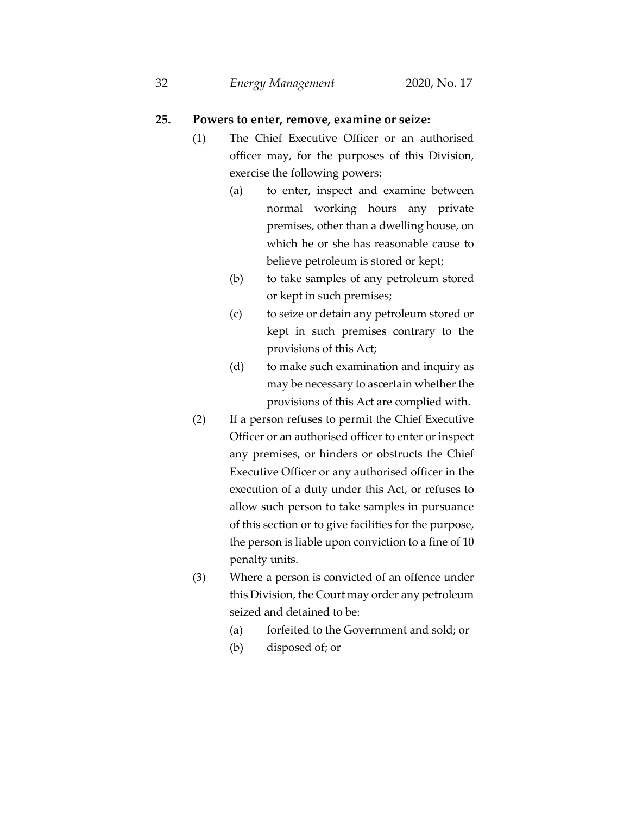#### **25. Powers to enter, remove, examine or seize:**

- (1) The Chief Executive Officer or an authorised officer may, for the purposes of this Division, exercise the following powers:
	- (a) to enter, inspect and examine between normal working hours any private premises, other than a dwelling house, on which he or she has reasonable cause to believe petroleum is stored or kept;
	- (b) to take samples of any petroleum stored or kept in such premises;
	- (c) to seize or detain any petroleum stored or kept in such premises contrary to the provisions of this Act;
	- (d) to make such examination and inquiry as may be necessary to ascertain whether the provisions of this Act are complied with.
- (2) If a person refuses to permit the Chief Executive Officer or an authorised officer to enter or inspect any premises, or hinders or obstructs the Chief Executive Officer or any authorised officer in the execution of a duty under this Act, or refuses to allow such person to take samples in pursuance of this section or to give facilities for the purpose, the person is liable upon conviction to a fine of 10 penalty units.
- (3) Where a person is convicted of an offence under this Division, the Court may order any petroleum seized and detained to be:
	- (a) forfeited to the Government and sold; or
	- (b) disposed of; or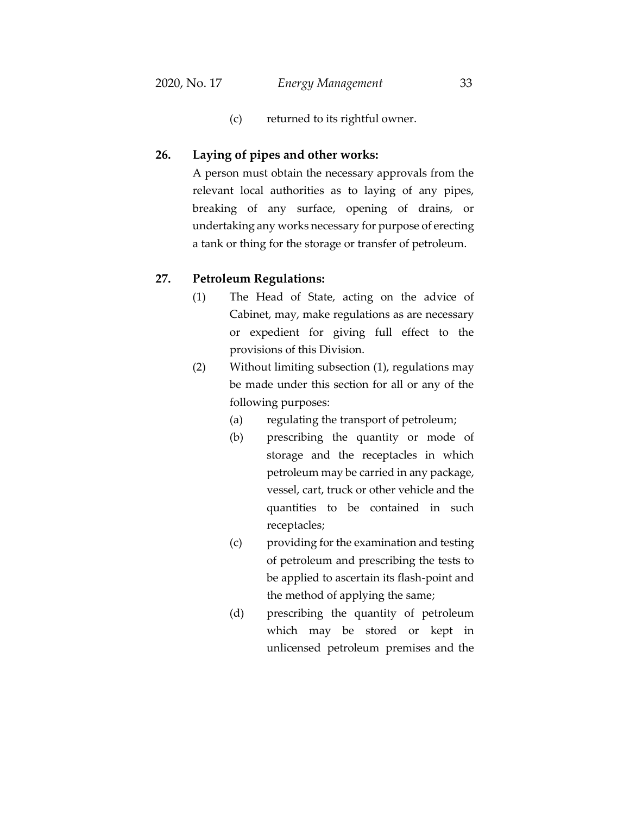(c) returned to its rightful owner.

#### **26. Laying of pipes and other works:**

A person must obtain the necessary approvals from the relevant local authorities as to laying of any pipes, breaking of any surface, opening of drains, or undertaking any works necessary for purpose of erecting a tank or thing for the storage or transfer of petroleum.

#### **27. Petroleum Regulations:**

- (1) The Head of State, acting on the advice of Cabinet, may, make regulations as are necessary or expedient for giving full effect to the provisions of this Division.
- (2) Without limiting subsection (1), regulations may be made under this section for all or any of the following purposes:
	- (a) regulating the transport of petroleum;
	- (b) prescribing the quantity or mode of storage and the receptacles in which petroleum may be carried in any package, vessel, cart, truck or other vehicle and the quantities to be contained in such receptacles;
	- (c) providing for the examination and testing of petroleum and prescribing the tests to be applied to ascertain its flash-point and the method of applying the same;
	- (d) prescribing the quantity of petroleum which may be stored or kept in unlicensed petroleum premises and the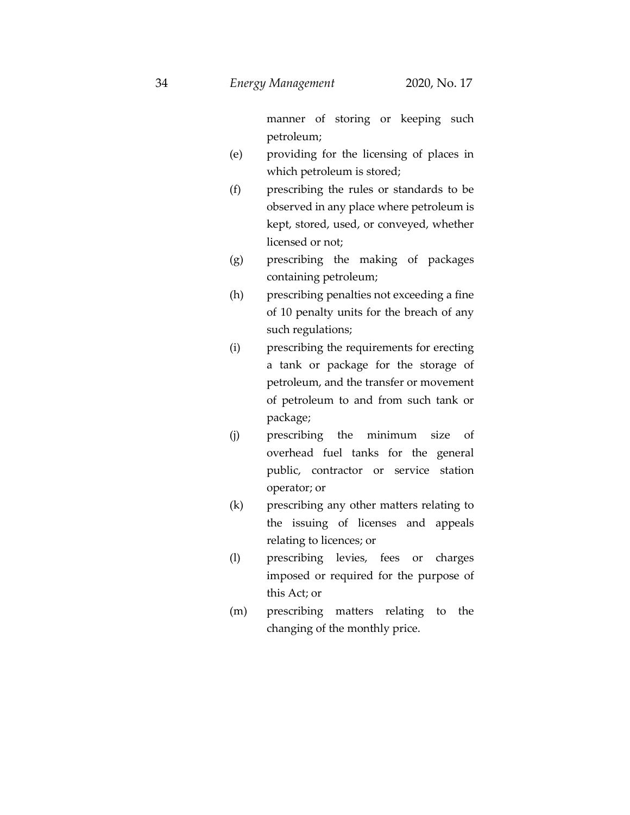manner of storing or keeping such petroleum;

- (e) providing for the licensing of places in which petroleum is stored;
- (f) prescribing the rules or standards to be observed in any place where petroleum is kept, stored, used, or conveyed, whether licensed or not;
- (g) prescribing the making of packages containing petroleum;
- (h) prescribing penalties not exceeding a fine of 10 penalty units for the breach of any such regulations;
- (i) prescribing the requirements for erecting a tank or package for the storage of petroleum, and the transfer or movement of petroleum to and from such tank or package;
- (j) prescribing the minimum size of overhead fuel tanks for the general public, contractor or service station operator; or
- (k) prescribing any other matters relating to the issuing of licenses and appeals relating to licences; or
- (l) prescribing levies, fees or charges imposed or required for the purpose of this Act; or
- (m) prescribing matters relating to the changing of the monthly price.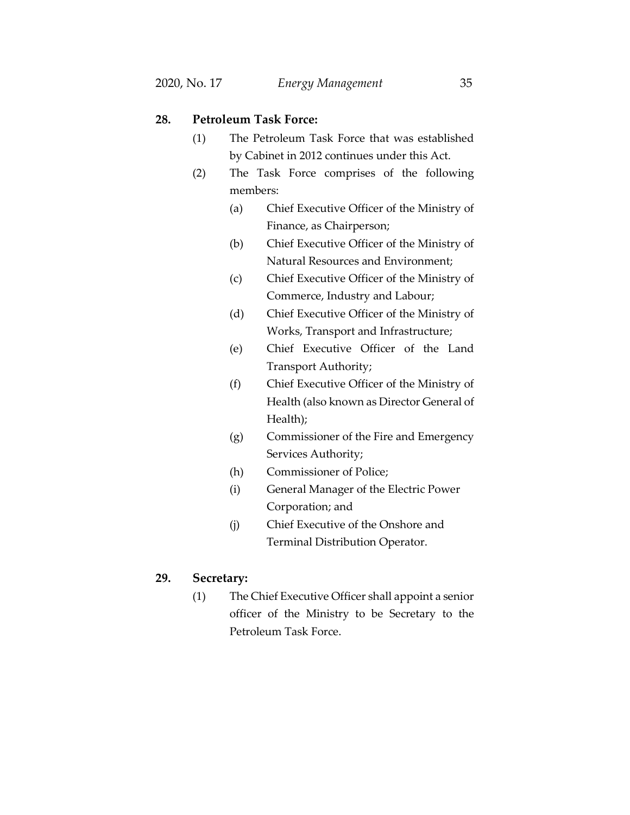## **28. Petroleum Task Force:**

- (1) The Petroleum Task Force that was established by Cabinet in 2012 continues under this Act.
- (2) The Task Force comprises of the following members:
	- (a) Chief Executive Officer of the Ministry of Finance, as Chairperson;
	- (b) Chief Executive Officer of the Ministry of Natural Resources and Environment;
	- (c) Chief Executive Officer of the Ministry of Commerce, Industry and Labour;
	- (d) Chief Executive Officer of the Ministry of Works, Transport and Infrastructure;
	- (e) Chief Executive Officer of the Land Transport Authority;
	- (f) Chief Executive Officer of the Ministry of Health (also known as Director General of Health);
	- (g) Commissioner of the Fire and Emergency Services Authority;
	- (h) Commissioner of Police;
	- (i) General Manager of the Electric Power Corporation; and
	- (j) Chief Executive of the Onshore and Terminal Distribution Operator.

## **29. Secretary:**

(1) The Chief Executive Officer shall appoint a senior officer of the Ministry to be Secretary to the Petroleum Task Force.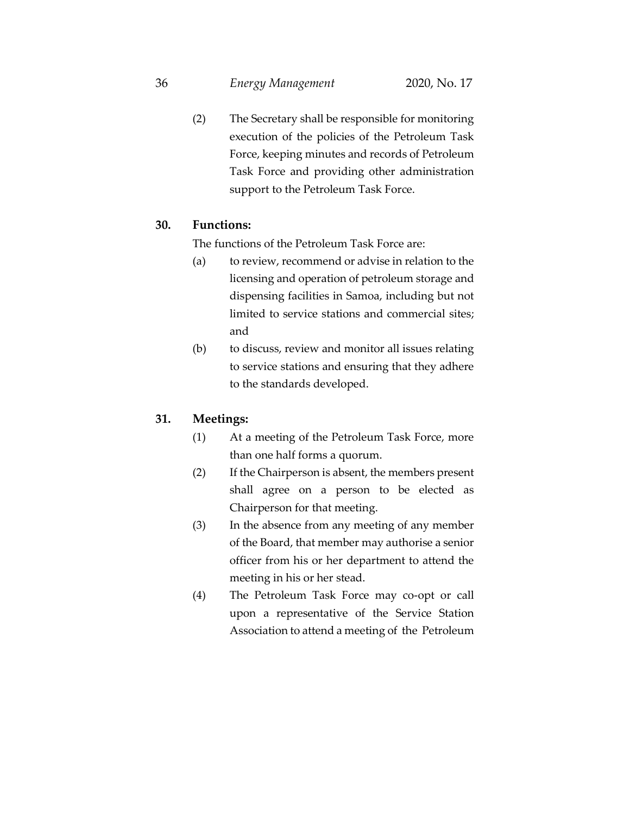36 *Energy Management* 2020, No. 17

(2) The Secretary shall be responsible for monitoring execution of the policies of the Petroleum Task Force, keeping minutes and records of Petroleum Task Force and providing other administration support to the Petroleum Task Force.

## **30. Functions:**

The functions of the Petroleum Task Force are:

- (a) to review, recommend or advise in relation to the licensing and operation of petroleum storage and dispensing facilities in Samoa, including but not limited to service stations and commercial sites; and
- (b) to discuss, review and monitor all issues relating to service stations and ensuring that they adhere to the standards developed.

### **31. Meetings:**

- (1) At a meeting of the Petroleum Task Force, more than one half forms a quorum.
- (2) If the Chairperson is absent, the members present shall agree on a person to be elected as Chairperson for that meeting.
- (3) In the absence from any meeting of any member of the Board, that member may authorise a senior officer from his or her department to attend the meeting in his or her stead.
- (4) The Petroleum Task Force may co-opt or call upon a representative of the Service Station Association to attend a meeting of the Petroleum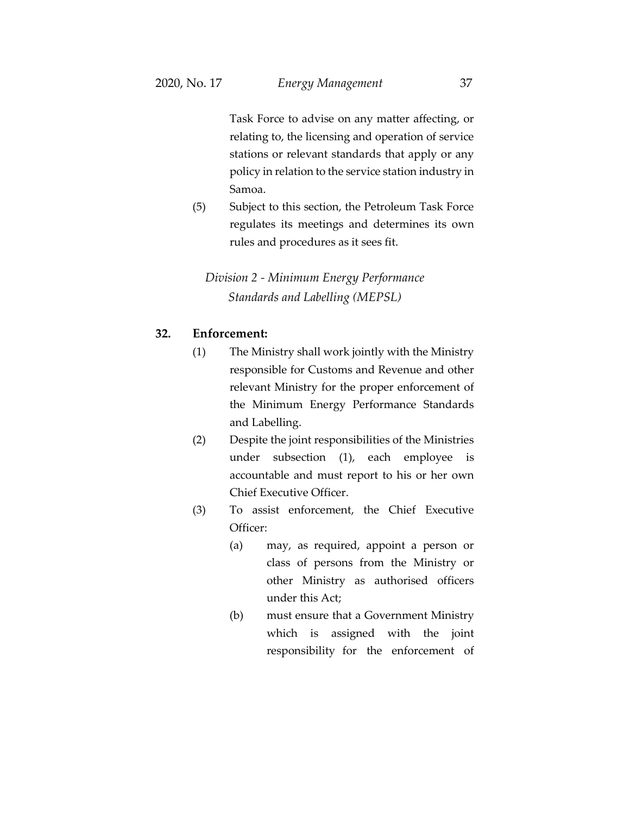Task Force to advise on any matter affecting, or relating to, the licensing and operation of service stations or relevant standards that apply or any policy in relation to the service station industry in Samoa.

(5) Subject to this section, the Petroleum Task Force regulates its meetings and determines its own rules and procedures as it sees fit.

# *Division 2 - Minimum Energy Performance Standards and Labelling (MEPSL)*

# **32. Enforcement:**

- (1) The Ministry shall work jointly with the Ministry responsible for Customs and Revenue and other relevant Ministry for the proper enforcement of the Minimum Energy Performance Standards and Labelling.
- (2) Despite the joint responsibilities of the Ministries under subsection (1), each employee is accountable and must report to his or her own Chief Executive Officer.
- (3) To assist enforcement, the Chief Executive Officer:
	- (a) may, as required, appoint a person or class of persons from the Ministry or other Ministry as authorised officers under this Act;
	- (b) must ensure that a Government Ministry which is assigned with the joint responsibility for the enforcement of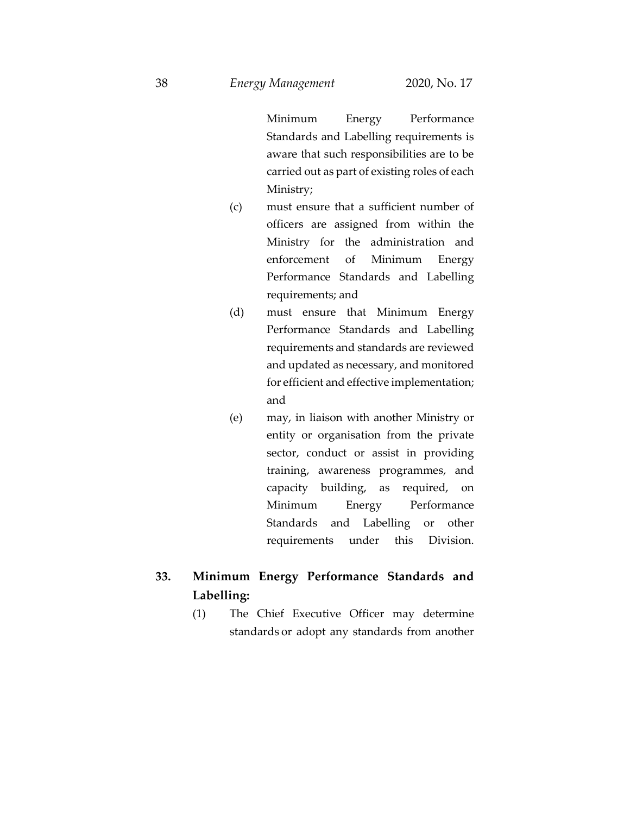Minimum Energy Performance Standards and Labelling requirements is aware that such responsibilities are to be carried out as part of existing roles of each Ministry;

- (c) must ensure that a sufficient number of officers are assigned from within the Ministry for the administration and enforcement of Minimum Energy Performance Standards and Labelling requirements; and
- (d) must ensure that Minimum Energy Performance Standards and Labelling requirements and standards are reviewed and updated as necessary, and monitored for efficient and effective implementation; and
- (e) may, in liaison with another Ministry or entity or organisation from the private sector, conduct or assist in providing training, awareness programmes, and capacity building, as required, on Minimum Energy Performance Standards and Labelling or other requirements under this Division.

# **33. Minimum Energy Performance Standards and Labelling:**

(1) The Chief Executive Officer may determine standards or adopt any standards from another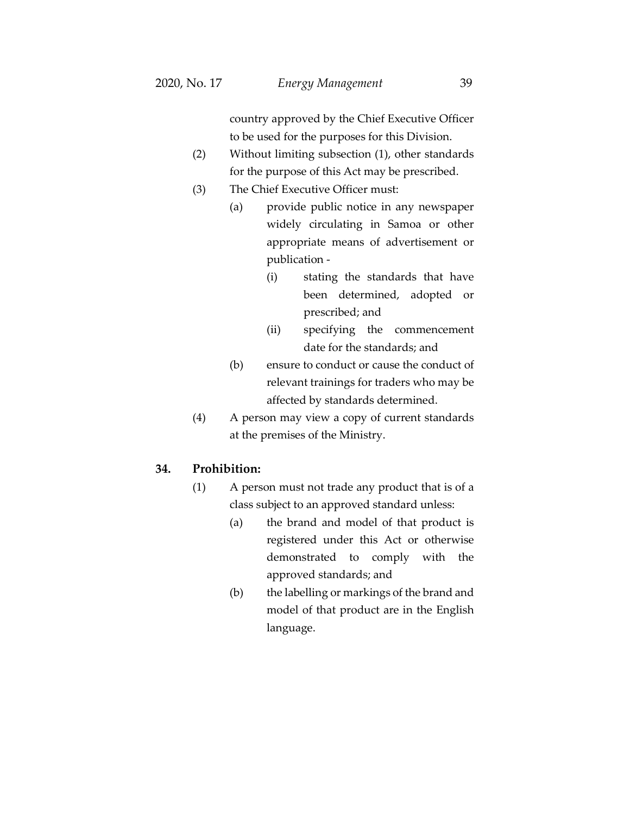country approved by the Chief Executive Officer to be used for the purposes for this Division.

- (2) Without limiting subsection (1), other standards for the purpose of this Act may be prescribed.
- (3) The Chief Executive Officer must:
	- (a) provide public notice in any newspaper widely circulating in Samoa or other appropriate means of advertisement or publication -
		- (i) stating the standards that have been determined, adopted or prescribed; and
		- (ii) specifying the commencement date for the standards; and
	- (b) ensure to conduct or cause the conduct of relevant trainings for traders who may be affected by standards determined.
- (4) A person may view a copy of current standards at the premises of the Ministry.

## **34. Prohibition:**

- (1) A person must not trade any product that is of a class subject to an approved standard unless:
	- (a) the brand and model of that product is registered under this Act or otherwise demonstrated to comply with the approved standards; and
	- (b) the labelling or markings of the brand and model of that product are in the English language.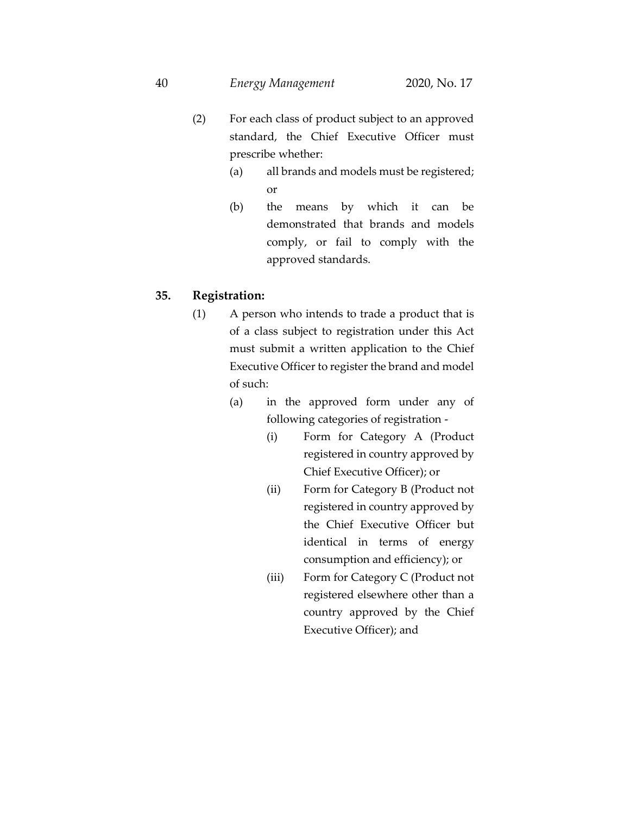- (2) For each class of product subject to an approved standard, the Chief Executive Officer must prescribe whether:
	- (a) all brands and models must be registered; or
	- (b) the means by which it can be demonstrated that brands and models comply, or fail to comply with the approved standards.

# **35. Registration:**

- (1) A person who intends to trade a product that is of a class subject to registration under this Act must submit a written application to the Chief Executive Officer to register the brand and model of such:
	- (a) in the approved form under any of following categories of registration -
		- (i) Form for Category A (Product registered in country approved by Chief Executive Officer); or
		- (ii) Form for Category B (Product not registered in country approved by the Chief Executive Officer but identical in terms of energy consumption and efficiency); or
		- (iii) Form for Category C (Product not registered elsewhere other than a country approved by the Chief Executive Officer); and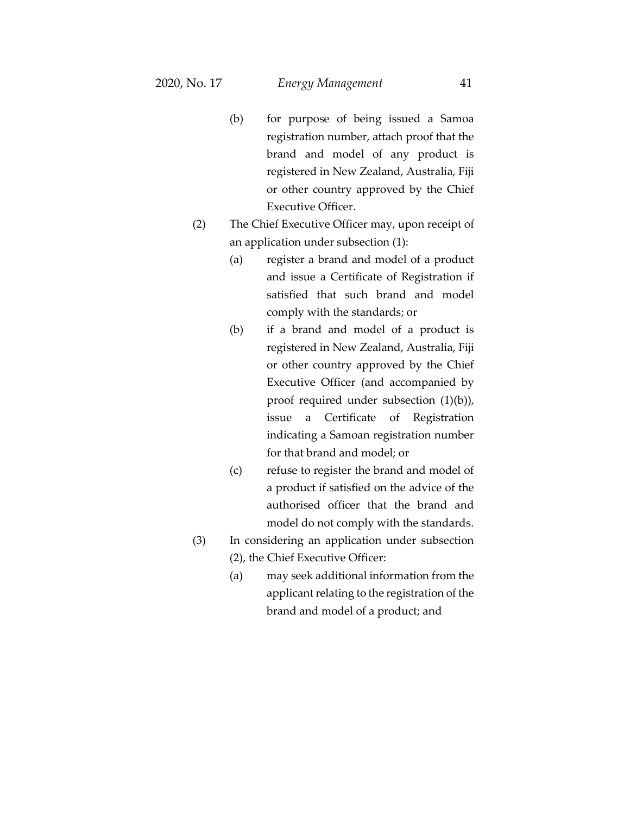- (b) for purpose of being issued a Samoa registration number, attach proof that the brand and model of any product is registered in New Zealand, Australia, Fiji or other country approved by the Chief Executive Officer.
- (2) The Chief Executive Officer may, upon receipt of an application under subsection (1):
	- (a) register a brand and model of a product and issue a Certificate of Registration if satisfied that such brand and model comply with the standards; or
	- (b) if a brand and model of a product is registered in New Zealand, Australia, Fiji or other country approved by the Chief Executive Officer (and accompanied by proof required under subsection (1)(b)), issue a Certificate of Registration indicating a Samoan registration number for that brand and model; or
	- (c) refuse to register the brand and model of a product if satisfied on the advice of the authorised officer that the brand and model do not comply with the standards.
- (3) In considering an application under subsection (2), the Chief Executive Officer:
	- (a) may seek additional information from the applicant relating to the registration of the brand and model of a product; and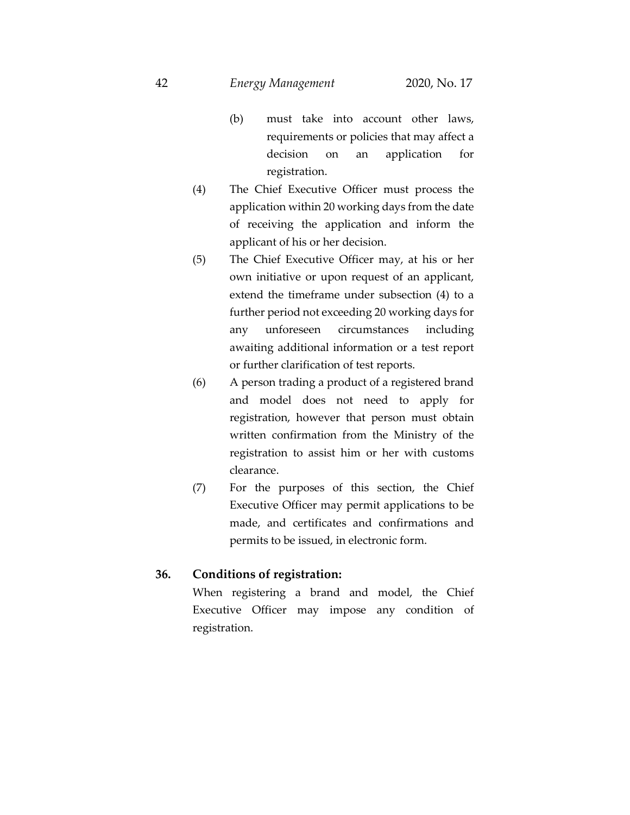- (b) must take into account other laws, requirements or policies that may affect a decision on an application for registration.
- (4) The Chief Executive Officer must process the application within 20 working days from the date of receiving the application and inform the applicant of his or her decision.
- (5) The Chief Executive Officer may, at his or her own initiative or upon request of an applicant, extend the timeframe under subsection (4) to a further period not exceeding 20 working days for any unforeseen circumstances including awaiting additional information or a test report or further clarification of test reports.
- (6) A person trading a product of a registered brand and model does not need to apply for registration, however that person must obtain written confirmation from the Ministry of the registration to assist him or her with customs clearance.
- (7) For the purposes of this section, the Chief Executive Officer may permit applications to be made, and certificates and confirmations and permits to be issued, in electronic form.

### **36. Conditions of registration:**

When registering a brand and model, the Chief Executive Officer may impose any condition of registration.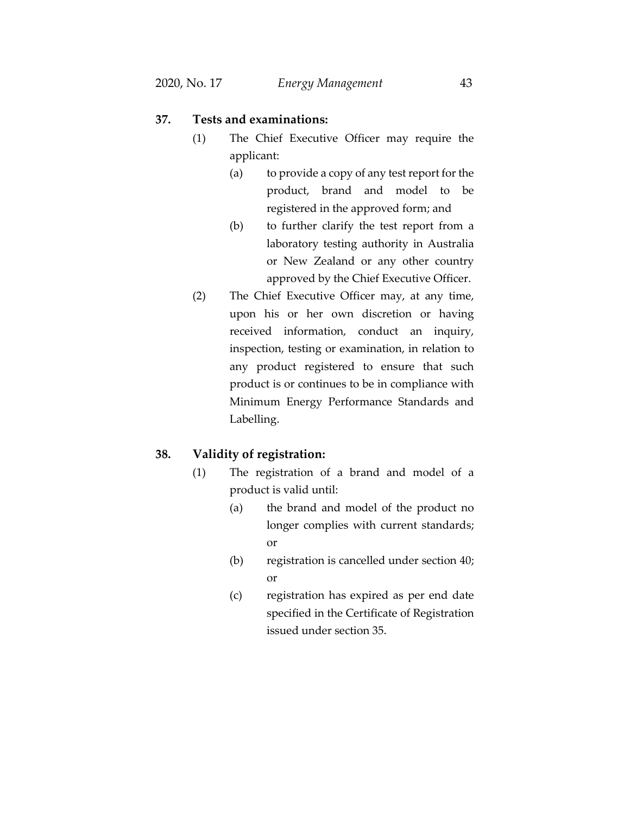### **37. Tests and examinations:**

- (1) The Chief Executive Officer may require the applicant:
	- (a) to provide a copy of any test report for the product, brand and model to be registered in the approved form; and
	- (b) to further clarify the test report from a laboratory testing authority in Australia or New Zealand or any other country approved by the Chief Executive Officer.
- (2) The Chief Executive Officer may, at any time, upon his or her own discretion or having received information, conduct an inquiry, inspection, testing or examination, in relation to any product registered to ensure that such product is or continues to be in compliance with Minimum Energy Performance Standards and Labelling.

### **38. Validity of registration:**

- (1) The registration of a brand and model of a product is valid until:
	- (a) the brand and model of the product no longer complies with current standards; or
	- (b) registration is cancelled under section 40; or
	- (c) registration has expired as per end date specified in the Certificate of Registration issued under section 35.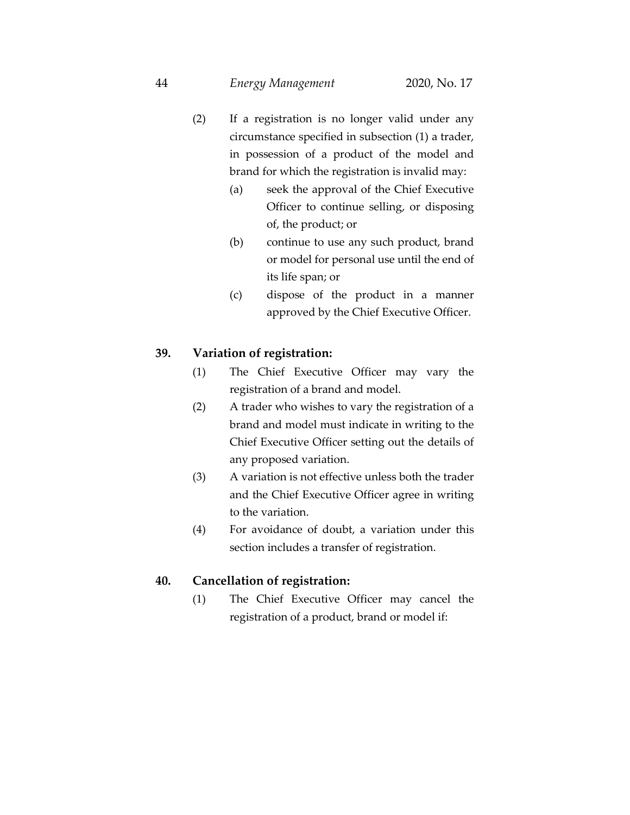- (2) If a registration is no longer valid under any circumstance specified in subsection (1) a trader, in possession of a product of the model and brand for which the registration is invalid may:
	- (a) seek the approval of the Chief Executive Officer to continue selling, or disposing of, the product; or
	- (b) continue to use any such product, brand or model for personal use until the end of its life span; or
	- (c) dispose of the product in a manner approved by the Chief Executive Officer.

# **39. Variation of registration:**

- (1) The Chief Executive Officer may vary the registration of a brand and model.
- (2) A trader who wishes to vary the registration of a brand and model must indicate in writing to the Chief Executive Officer setting out the details of any proposed variation.
- (3) A variation is not effective unless both the trader and the Chief Executive Officer agree in writing to the variation.
- (4) For avoidance of doubt, a variation under this section includes a transfer of registration.

### **40. Cancellation of registration:**

(1) The Chief Executive Officer may cancel the registration of a product, brand or model if: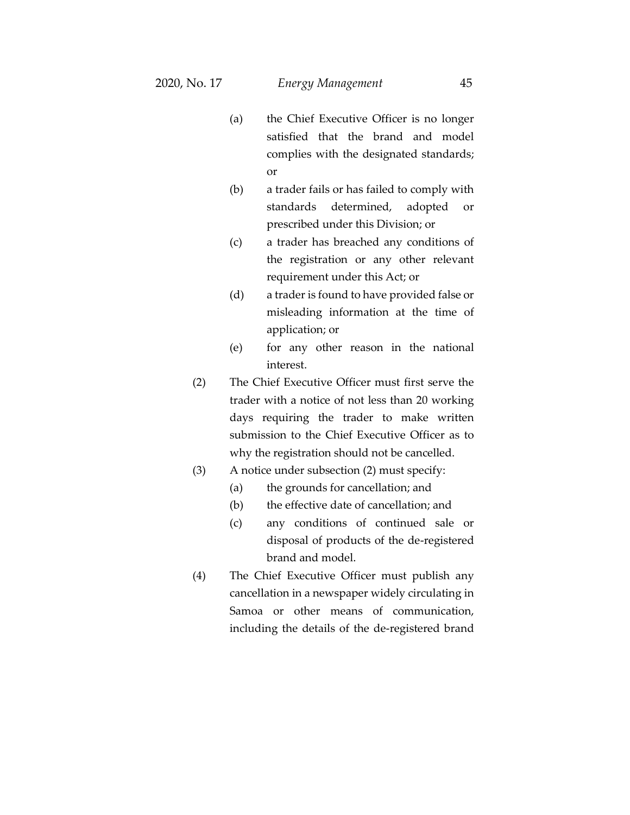- (a) the Chief Executive Officer is no longer satisfied that the brand and model complies with the designated standards; or
- (b) a trader fails or has failed to comply with standards determined, adopted or prescribed under this Division; or
- (c) a trader has breached any conditions of the registration or any other relevant requirement under this Act; or
- (d) a trader is found to have provided false or misleading information at the time of application; or
- (e) for any other reason in the national interest.
- (2) The Chief Executive Officer must first serve the trader with a notice of not less than 20 working days requiring the trader to make written submission to the Chief Executive Officer as to why the registration should not be cancelled.
- (3) A notice under subsection (2) must specify:
	- (a) the grounds for cancellation; and
	- (b) the effective date of cancellation; and
	- (c) any conditions of continued sale or disposal of products of the de-registered brand and model.
- (4) The Chief Executive Officer must publish any cancellation in a newspaper widely circulating in Samoa or other means of communication, including the details of the de-registered brand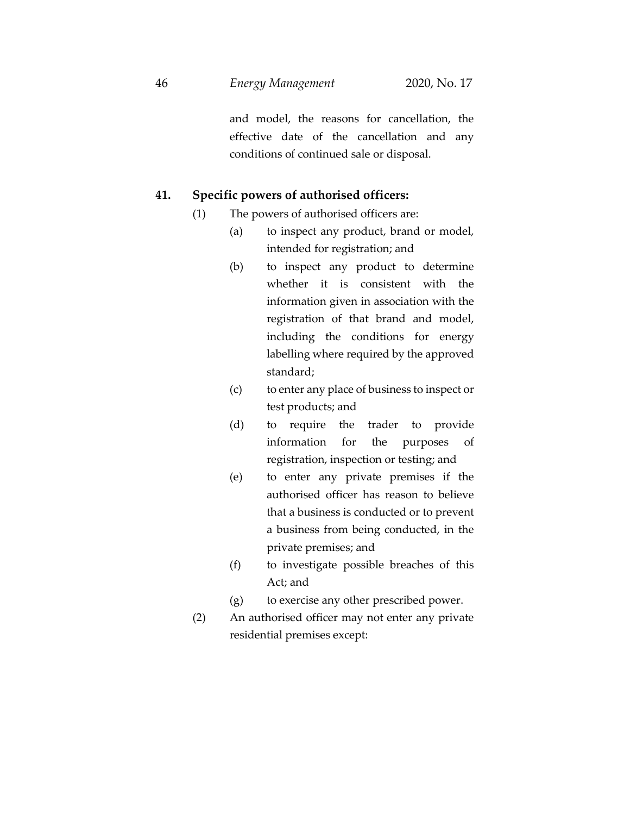and model, the reasons for cancellation, the effective date of the cancellation and any conditions of continued sale or disposal.

### **41. Specific powers of authorised officers:**

- (1) The powers of authorised officers are:
	- (a) to inspect any product, brand or model, intended for registration; and
	- (b) to inspect any product to determine whether it is consistent with the information given in association with the registration of that brand and model, including the conditions for energy labelling where required by the approved standard;
	- (c) to enter any place of business to inspect or test products; and
	- (d) to require the trader to provide information for the purposes of registration, inspection or testing; and
	- (e) to enter any private premises if the authorised officer has reason to believe that a business is conducted or to prevent a business from being conducted, in the private premises; and
	- (f) to investigate possible breaches of this Act; and
	- (g) to exercise any other prescribed power.
- (2) An authorised officer may not enter any private residential premises except: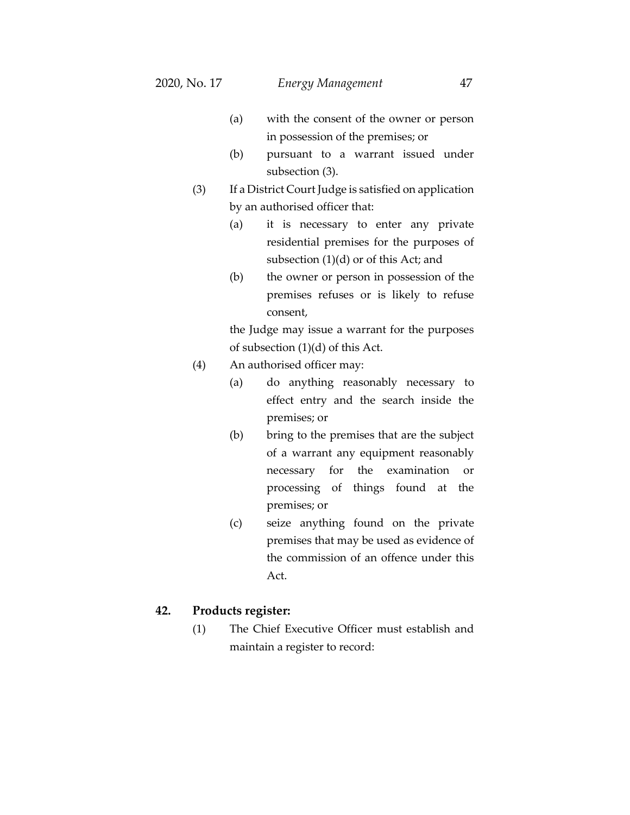- (a) with the consent of the owner or person in possession of the premises; or
- (b) pursuant to a warrant issued under subsection (3).
- (3) If a District Court Judge is satisfied on application by an authorised officer that:
	- (a) it is necessary to enter any private residential premises for the purposes of subsection (1)(d) or of this Act; and
	- (b) the owner or person in possession of the premises refuses or is likely to refuse consent,

the Judge may issue a warrant for the purposes of subsection (1)(d) of this Act.

- (4) An authorised officer may:
	- (a) do anything reasonably necessary to effect entry and the search inside the premises; or
	- (b) bring to the premises that are the subject of a warrant any equipment reasonably necessary for the examination or processing of things found at the premises; or
	- (c) seize anything found on the private premises that may be used as evidence of the commission of an offence under this Act.

#### **42. Products register:**

(1) The Chief Executive Officer must establish and maintain a register to record: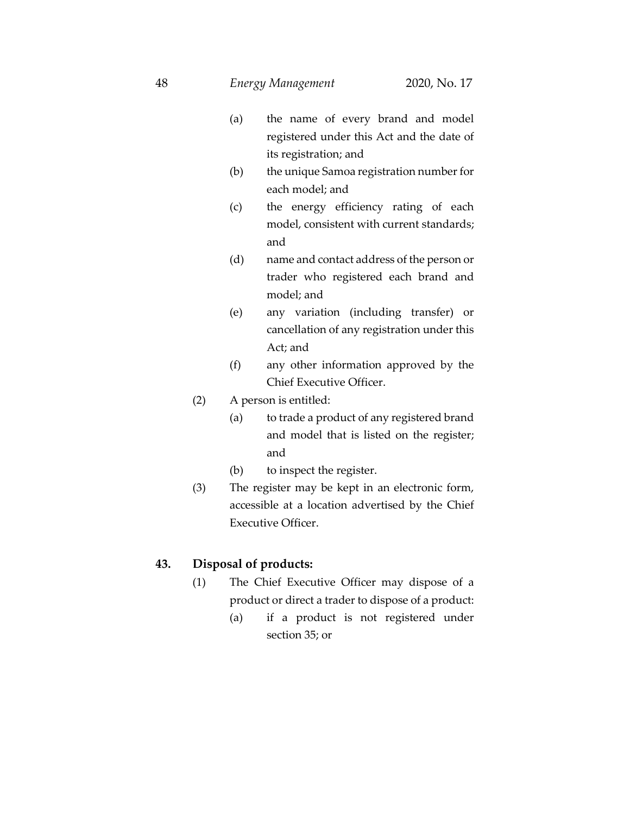- (a) the name of every brand and model registered under this Act and the date of its registration; and
- (b) the unique Samoa registration number for each model; and
- (c) the energy efficiency rating of each model, consistent with current standards; and
- (d) name and contact address of the person or trader who registered each brand and model; and
- (e) any variation (including transfer) or cancellation of any registration under this Act; and
- (f) any other information approved by the Chief Executive Officer.
- (2) A person is entitled:
	- (a) to trade a product of any registered brand and model that is listed on the register; and
	- (b) to inspect the register.
- (3) The register may be kept in an electronic form, accessible at a location advertised by the Chief Executive Officer.

### **43. Disposal of products:**

- (1) The Chief Executive Officer may dispose of a product or direct a trader to dispose of a product:
	- (a) if a product is not registered under section 35; or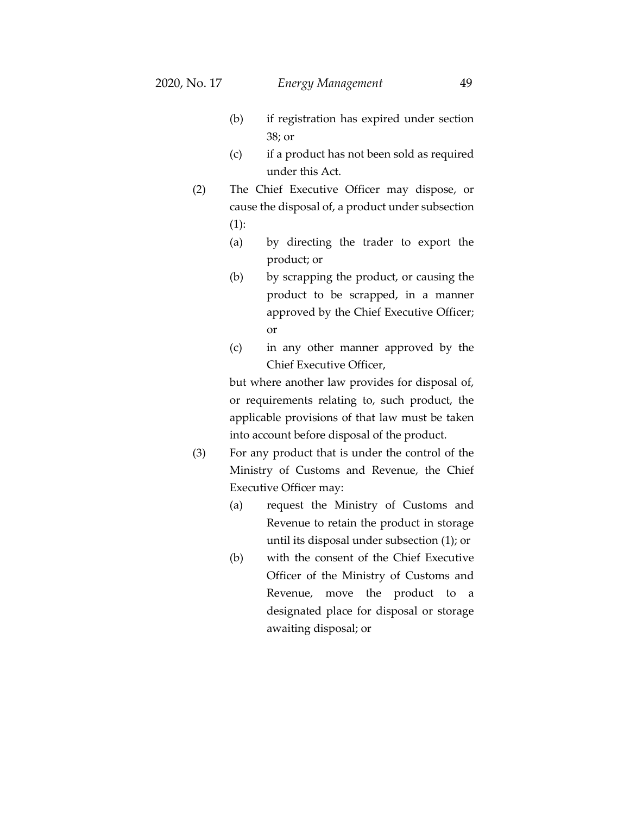- (b) if registration has expired under section 38; or
- (c) if a product has not been sold as required under this Act.
- (2) The Chief Executive Officer may dispose, or cause the disposal of, a product under subsection (1):
	- (a) by directing the trader to export the product; or
	- (b) by scrapping the product, or causing the product to be scrapped, in a manner approved by the Chief Executive Officer; or
	- (c) in any other manner approved by the Chief Executive Officer,

but where another law provides for disposal of, or requirements relating to, such product, the applicable provisions of that law must be taken into account before disposal of the product.

- (3) For any product that is under the control of the Ministry of Customs and Revenue, the Chief Executive Officer may:
	- (a) request the Ministry of Customs and Revenue to retain the product in storage until its disposal under subsection (1); or
	- (b) with the consent of the Chief Executive Officer of the Ministry of Customs and Revenue, move the product to a designated place for disposal or storage awaiting disposal; or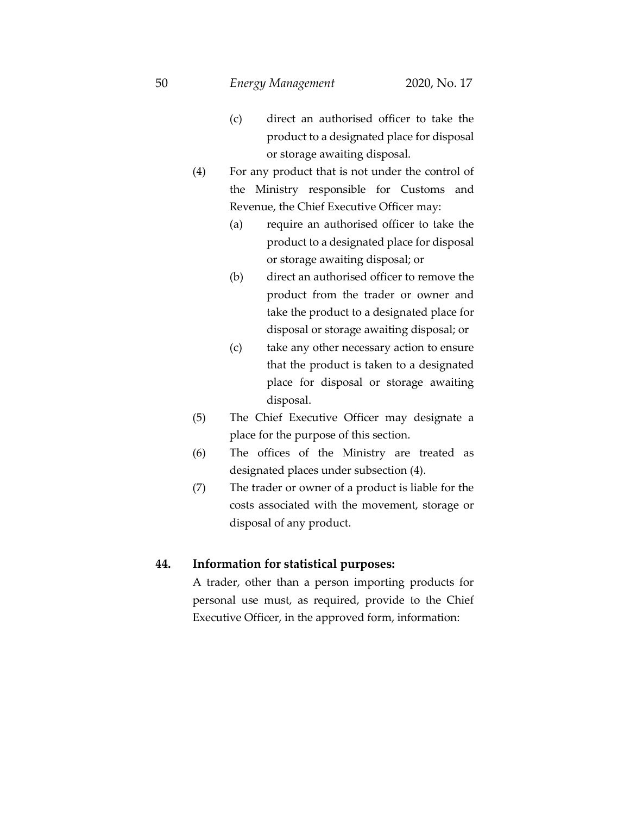- (c) direct an authorised officer to take the product to a designated place for disposal or storage awaiting disposal.
- (4) For any product that is not under the control of the Ministry responsible for Customs and Revenue, the Chief Executive Officer may:
	- (a) require an authorised officer to take the product to a designated place for disposal or storage awaiting disposal; or
	- (b) direct an authorised officer to remove the product from the trader or owner and take the product to a designated place for disposal or storage awaiting disposal; or
	- (c) take any other necessary action to ensure that the product is taken to a designated place for disposal or storage awaiting disposal.
- (5) The Chief Executive Officer may designate a place for the purpose of this section.
- (6) The offices of the Ministry are treated as designated places under subsection (4).
- (7) The trader or owner of a product is liable for the costs associated with the movement, storage or disposal of any product.

### **44. Information for statistical purposes:**

A trader, other than a person importing products for personal use must, as required, provide to the Chief Executive Officer, in the approved form, information: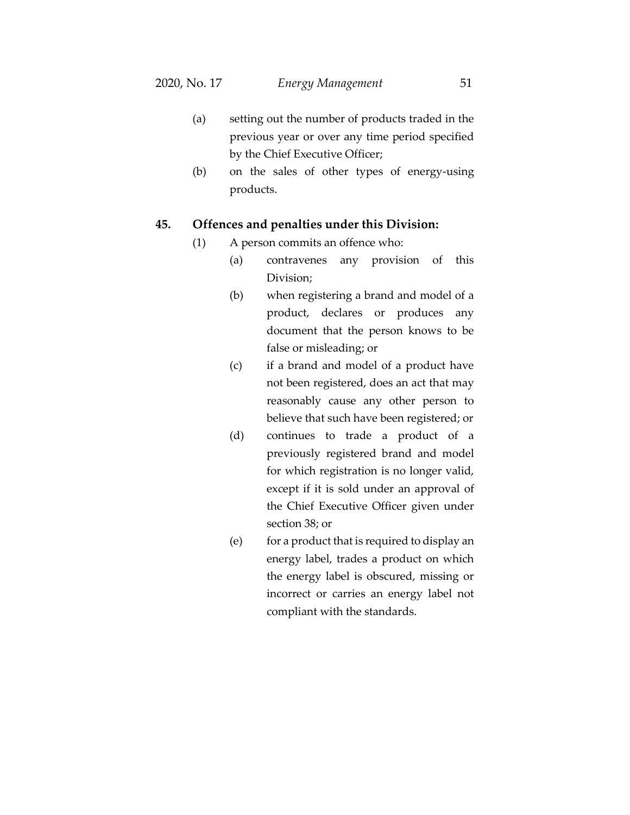- (a) setting out the number of products traded in the previous year or over any time period specified by the Chief Executive Officer;
- (b) on the sales of other types of energy-using products.

### **45. Offences and penalties under this Division:**

- (1) A person commits an offence who:
	- (a) contravenes any provision of this Division;
	- (b) when registering a brand and model of a product, declares or produces any document that the person knows to be false or misleading; or
	- (c) if a brand and model of a product have not been registered, does an act that may reasonably cause any other person to believe that such have been registered; or
	- (d) continues to trade a product of a previously registered brand and model for which registration is no longer valid, except if it is sold under an approval of the Chief Executive Officer given under section 38; or
	- (e) for a product that is required to display an energy label, trades a product on which the energy label is obscured, missing or incorrect or carries an energy label not compliant with the standards.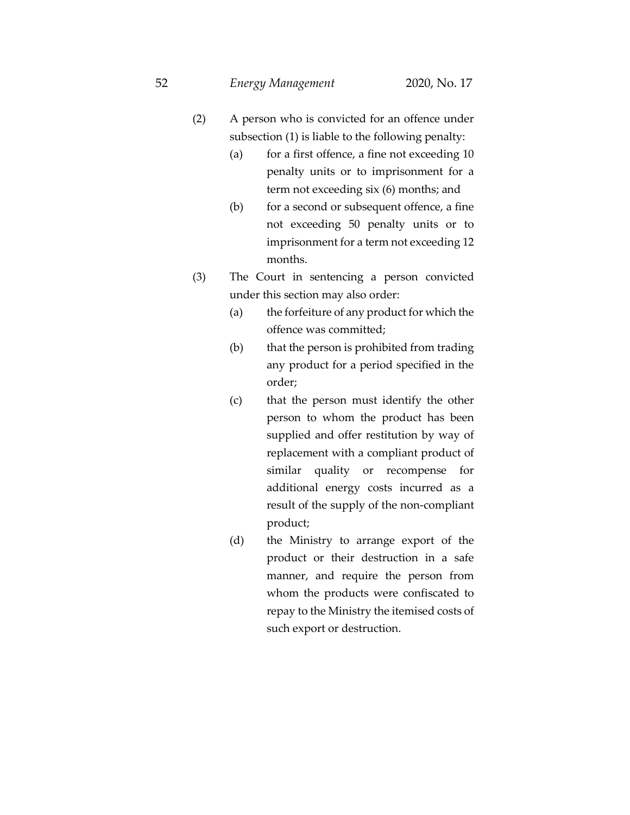- (2) A person who is convicted for an offence under subsection (1) is liable to the following penalty:
	- (a) for a first offence, a fine not exceeding 10 penalty units or to imprisonment for a term not exceeding six (6) months; and
	- (b) for a second or subsequent offence, a fine not exceeding 50 penalty units or to imprisonment for a term not exceeding 12 months.
- (3) The Court in sentencing a person convicted under this section may also order:
	- (a) the forfeiture of any product for which the offence was committed;
	- (b) that the person is prohibited from trading any product for a period specified in the order;
	- (c) that the person must identify the other person to whom the product has been supplied and offer restitution by way of replacement with a compliant product of similar quality or recompense for additional energy costs incurred as a result of the supply of the non-compliant product;
	- (d) the Ministry to arrange export of the product or their destruction in a safe manner, and require the person from whom the products were confiscated to repay to the Ministry the itemised costs of such export or destruction.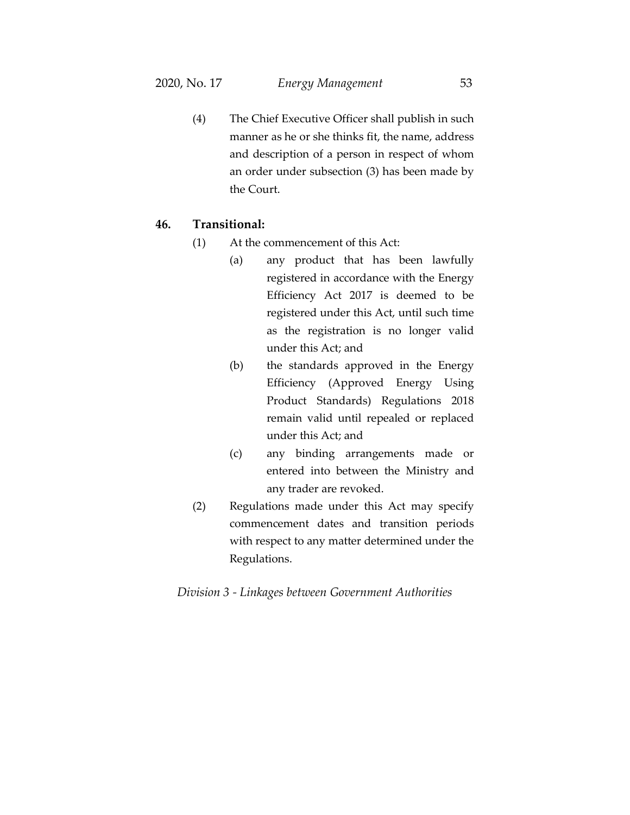(4) The Chief Executive Officer shall publish in such manner as he or she thinks fit, the name, address and description of a person in respect of whom an order under subsection (3) has been made by the Court.

## **46. Transitional:**

- (1) At the commencement of this Act:
	- (a) any product that has been lawfully registered in accordance with the Energy Efficiency Act 2017 is deemed to be registered under this Act, until such time as the registration is no longer valid under this Act; and
	- (b) the standards approved in the Energy Efficiency (Approved Energy Using Product Standards) Regulations 2018 remain valid until repealed or replaced under this Act; and
	- (c) any binding arrangements made or entered into between the Ministry and any trader are revoked.
- (2) Regulations made under this Act may specify commencement dates and transition periods with respect to any matter determined under the Regulations.

#### *Division 3 - Linkages between Government Authorities*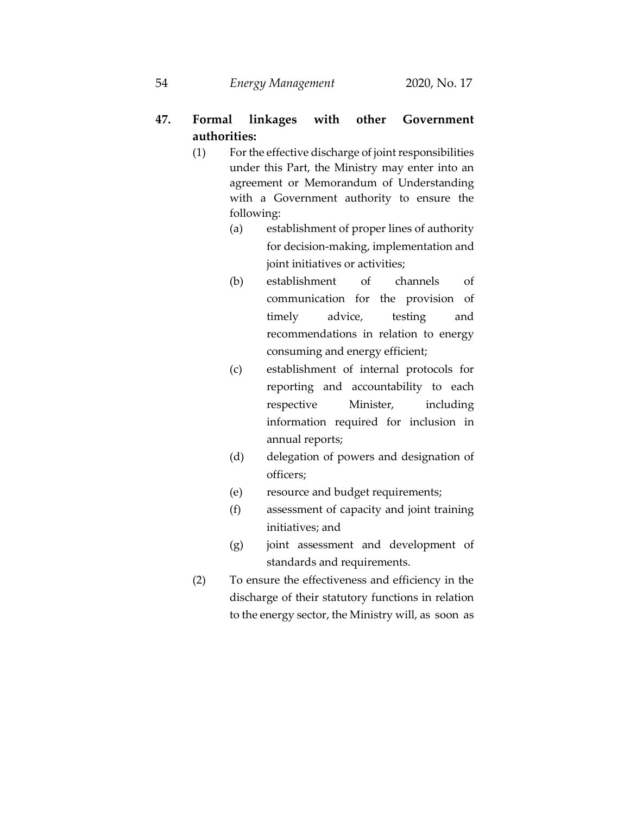# **47. Formal linkages with other Government authorities:**

- (1) For the effective discharge of joint responsibilities under this Part, the Ministry may enter into an agreement or Memorandum of Understanding with a Government authority to ensure the following:
	- (a) establishment of proper lines of authority for decision-making, implementation and joint initiatives or activities;
	- (b) establishment of channels of communication for the provision of timely advice, testing and recommendations in relation to energy consuming and energy efficient;
	- (c) establishment of internal protocols for reporting and accountability to each respective Minister, including information required for inclusion in annual reports;
	- (d) delegation of powers and designation of officers;
	- (e) resource and budget requirements;
	- (f) assessment of capacity and joint training initiatives; and
	- (g) joint assessment and development of standards and requirements.
- (2) To ensure the effectiveness and efficiency in the discharge of their statutory functions in relation to the energy sector, the Ministry will, as soon as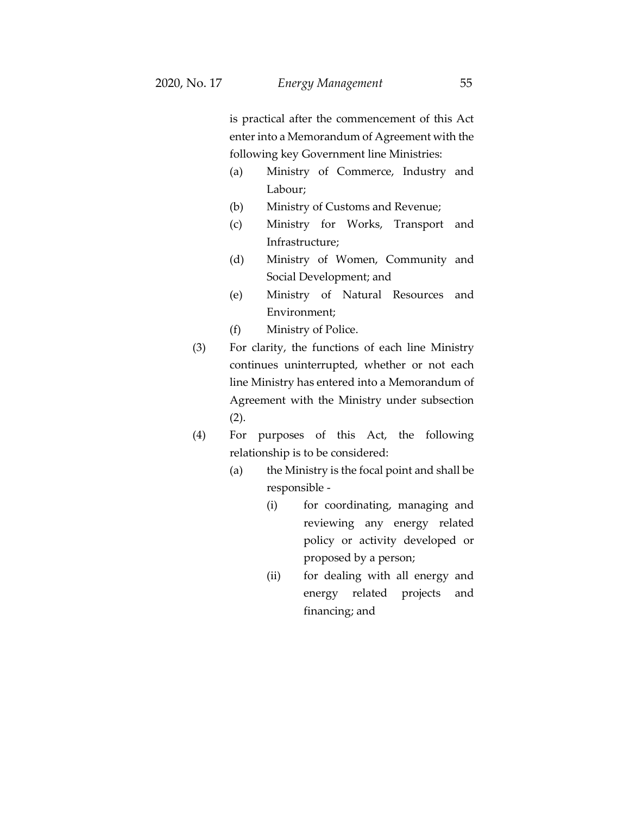is practical after the commencement of this Act enter into a Memorandum of Agreement with the following key Government line Ministries:

- (a) Ministry of Commerce, Industry and Labour;
- (b) Ministry of Customs and Revenue;
- (c) Ministry for Works, Transport and Infrastructure;
- (d) Ministry of Women, Community and Social Development; and
- (e) Ministry of Natural Resources and Environment;
- (f) Ministry of Police.
- (3) For clarity, the functions of each line Ministry continues uninterrupted, whether or not each line Ministry has entered into a Memorandum of Agreement with the Ministry under subsection (2).
- (4) For purposes of this Act, the following relationship is to be considered:
	- (a) the Ministry is the focal point and shall be responsible -
		- (i) for coordinating, managing and reviewing any energy related policy or activity developed or proposed by a person;
		- (ii) for dealing with all energy and energy related projects and financing; and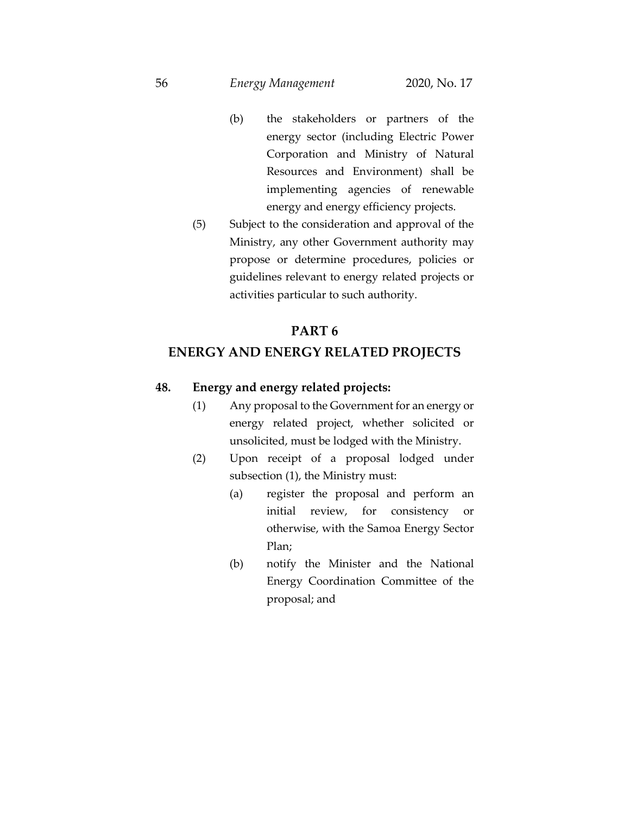- (b) the stakeholders or partners of the energy sector (including Electric Power Corporation and Ministry of Natural Resources and Environment) shall be implementing agencies of renewable energy and energy efficiency projects.
- (5) Subject to the consideration and approval of the Ministry, any other Government authority may propose or determine procedures, policies or guidelines relevant to energy related projects or activities particular to such authority.

### **PART 6**

# **ENERGY AND ENERGY RELATED PROJECTS**

# **48. Energy and energy related projects:**

- (1) Any proposal to the Government for an energy or energy related project, whether solicited or unsolicited, must be lodged with the Ministry.
- (2) Upon receipt of a proposal lodged under subsection (1), the Ministry must:
	- (a) register the proposal and perform an initial review, for consistency or otherwise, with the Samoa Energy Sector Plan;
	- (b) notify the Minister and the National Energy Coordination Committee of the proposal; and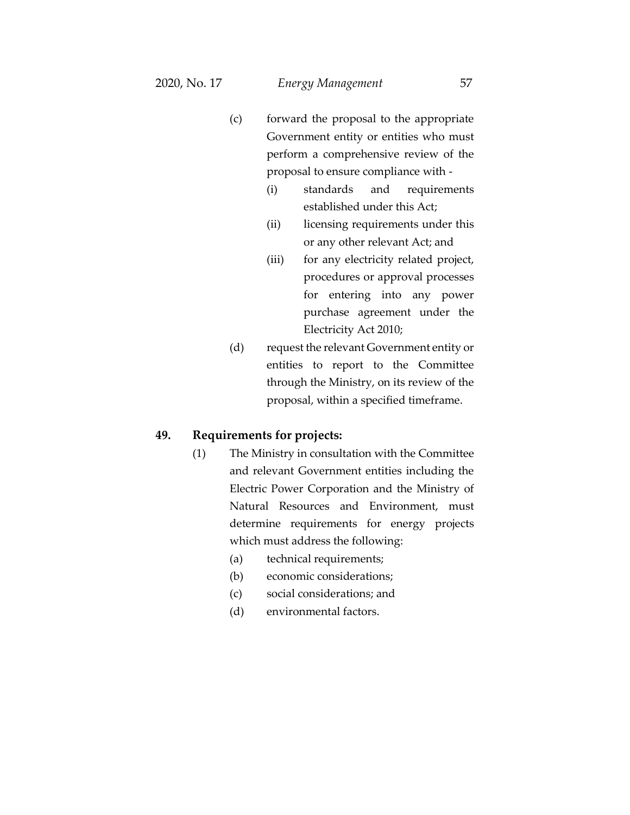- (c) forward the proposal to the appropriate Government entity or entities who must perform a comprehensive review of the proposal to ensure compliance with -
	- (i) standards and requirements established under this Act;
	- (ii) licensing requirements under this or any other relevant Act; and
	- (iii) for any electricity related project, procedures or approval processes for entering into any power purchase agreement under the Electricity Act 2010;
- (d) request the relevant Government entity or entities to report to the Committee through the Ministry, on its review of the proposal, within a specified timeframe.

#### **49. Requirements for projects:**

- (1) The Ministry in consultation with the Committee and relevant Government entities including the Electric Power Corporation and the Ministry of Natural Resources and Environment, must determine requirements for energy projects which must address the following:
	- (a) technical requirements;
	- (b) economic considerations;
	- (c) social considerations; and
	- (d) environmental factors.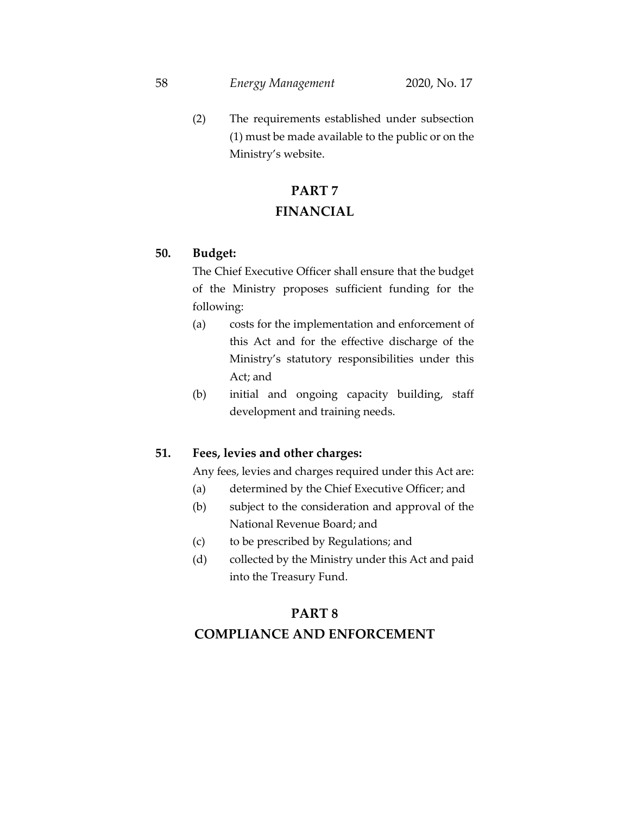(2) The requirements established under subsection (1) must be made available to the public or on the Ministry's website.

# **PART 7 FINANCIAL**

# **50. Budget:**

The Chief Executive Officer shall ensure that the budget of the Ministry proposes sufficient funding for the following:

- (a) costs for the implementation and enforcement of this Act and for the effective discharge of the Ministry's statutory responsibilities under this Act; and
- (b) initial and ongoing capacity building, staff development and training needs.

## **51. Fees, levies and other charges:**

Any fees, levies and charges required under this Act are:

- (a) determined by the Chief Executive Officer; and
- (b) subject to the consideration and approval of the National Revenue Board; and
- (c) to be prescribed by Regulations; and
- (d) collected by the Ministry under this Act and paid into the Treasury Fund.

# **PART 8**

# **COMPLIANCE AND ENFORCEMENT**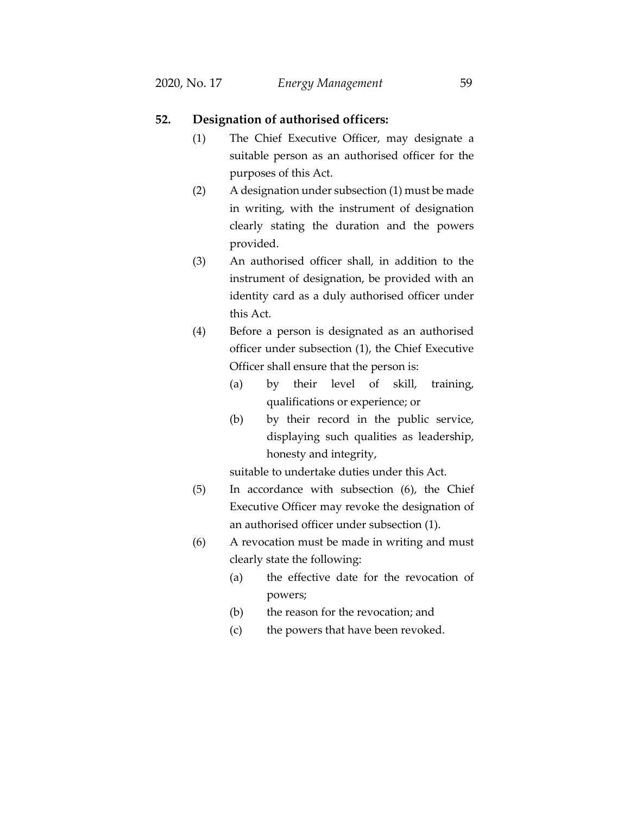## **52. Designation of authorised officers:**

- (1) The Chief Executive Officer, may designate a suitable person as an authorised officer for the purposes of this Act.
- (2) A designation under subsection (1) must be made in writing, with the instrument of designation clearly stating the duration and the powers provided.
- (3) An authorised officer shall, in addition to the instrument of designation, be provided with an identity card as a duly authorised officer under this Act.
- (4) Before a person is designated as an authorised officer under subsection (1), the Chief Executive Officer shall ensure that the person is:
	- (a) by their level of skill, training, qualifications or experience; or
	- (b) by their record in the public service, displaying such qualities as leadership, honesty and integrity,

suitable to undertake duties under this Act.

- (5) In accordance with subsection (6), the Chief Executive Officer may revoke the designation of an authorised officer under subsection (1).
- (6) A revocation must be made in writing and must clearly state the following:
	- (a) the effective date for the revocation of powers;
	- (b) the reason for the revocation; and
	- (c) the powers that have been revoked.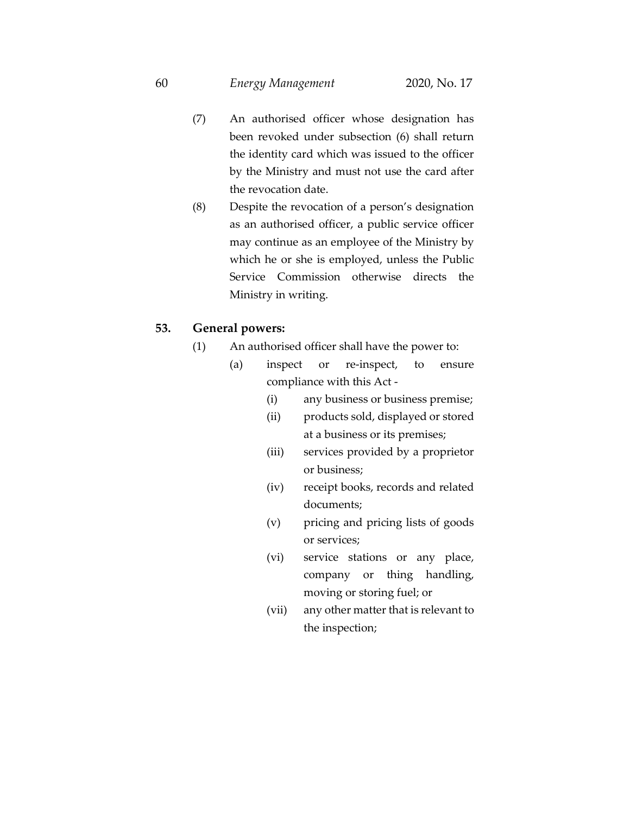- (7) An authorised officer whose designation has been revoked under subsection (6) shall return the identity card which was issued to the officer by the Ministry and must not use the card after the revocation date.
- (8) Despite the revocation of a person's designation as an authorised officer, a public service officer may continue as an employee of the Ministry by which he or she is employed, unless the Public Service Commission otherwise directs the Ministry in writing.

### **53. General powers:**

- (1) An authorised officer shall have the power to:
	- (a) inspect or re-inspect, to ensure compliance with this Act -
		- (i) any business or business premise;
		- (ii) products sold, displayed or stored at a business or its premises;
		- (iii) services provided by a proprietor or business;
		- (iv) receipt books, records and related documents;
		- (v) pricing and pricing lists of goods or services;
		- (vi) service stations or any place, company or thing handling, moving or storing fuel; or
		- (vii) any other matter that is relevant to the inspection;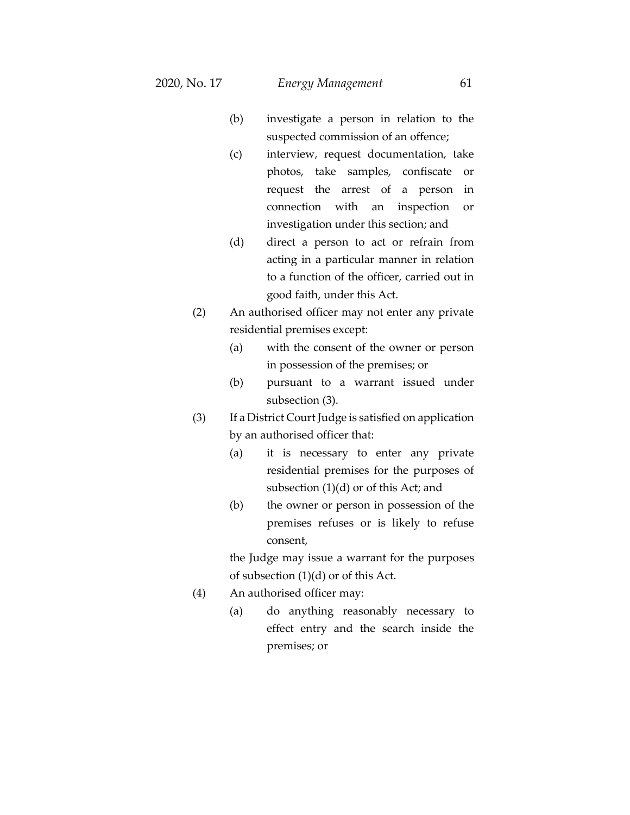- (b) investigate a person in relation to the suspected commission of an offence;
- (c) interview, request documentation, take photos, take samples, confiscate or request the arrest of a person in connection with an inspection or investigation under this section; and
- (d) direct a person to act or refrain from acting in a particular manner in relation to a function of the officer, carried out in good faith, under this Act.
- (2) An authorised officer may not enter any private residential premises except:
	- (a) with the consent of the owner or person in possession of the premises; or
	- (b) pursuant to a warrant issued under subsection (3).
- (3) If a District Court Judge is satisfied on application by an authorised officer that:
	- (a) it is necessary to enter any private residential premises for the purposes of subsection (1)(d) or of this Act; and
	- (b) the owner or person in possession of the premises refuses or is likely to refuse consent,

the Judge may issue a warrant for the purposes of subsection (1)(d) or of this Act.

- (4) An authorised officer may:
	- (a) do anything reasonably necessary to effect entry and the search inside the premises; or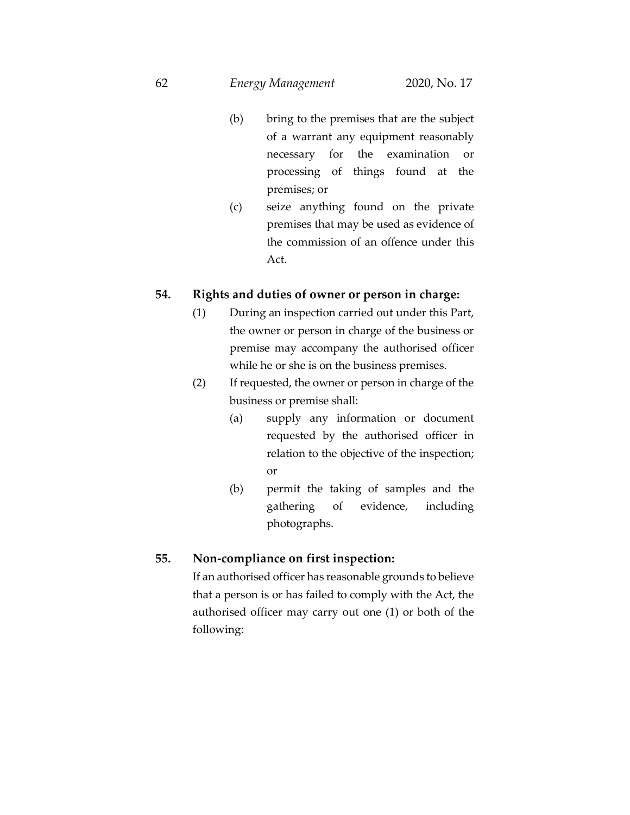- (b) bring to the premises that are the subject of a warrant any equipment reasonably necessary for the examination or processing of things found at the premises; or
- (c) seize anything found on the private premises that may be used as evidence of the commission of an offence under this Act.

# **54. Rights and duties of owner or person in charge:**

- (1) During an inspection carried out under this Part, the owner or person in charge of the business or premise may accompany the authorised officer while he or she is on the business premises.
- (2) If requested, the owner or person in charge of the business or premise shall:
	- (a) supply any information or document requested by the authorised officer in relation to the objective of the inspection; or
	- (b) permit the taking of samples and the gathering of evidence, including photographs.

# **55. Non-compliance on first inspection:**

If an authorised officer has reasonable grounds to believe that a person is or has failed to comply with the Act, the authorised officer may carry out one (1) or both of the following: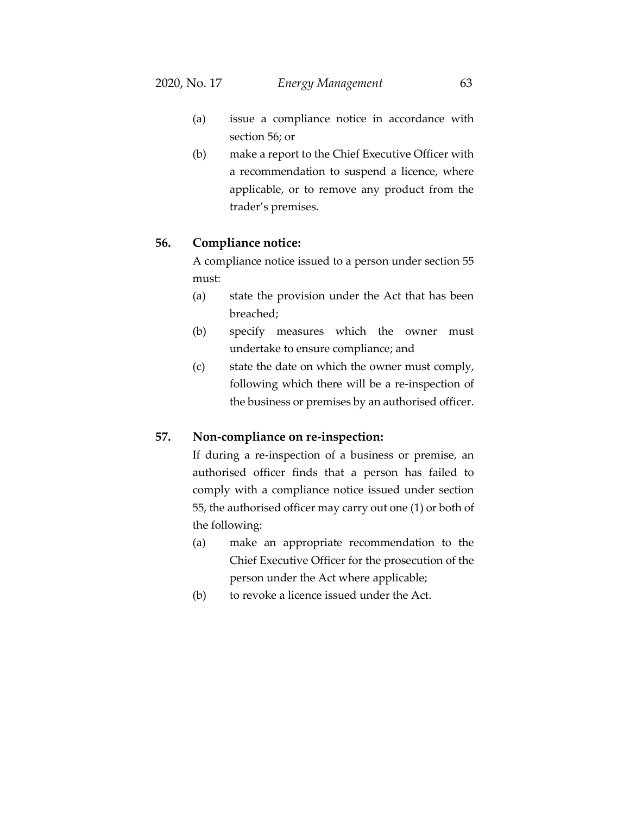- (a) issue a compliance notice in accordance with section 56; or
- (b) make a report to the Chief Executive Officer with a recommendation to suspend a licence, where applicable, or to remove any product from the trader's premises.

### **56. Compliance notice:**

A compliance notice issued to a person under section 55 must:

- (a) state the provision under the Act that has been breached;
- (b) specify measures which the owner must undertake to ensure compliance; and
- (c) state the date on which the owner must comply, following which there will be a re-inspection of the business or premises by an authorised officer.

#### **57. Non-compliance on re-inspection:**

If during a re-inspection of a business or premise, an authorised officer finds that a person has failed to comply with a compliance notice issued under section 55, the authorised officer may carry out one (1) or both of the following:

- (a) make an appropriate recommendation to the Chief Executive Officer for the prosecution of the person under the Act where applicable;
- (b) to revoke a licence issued under the Act.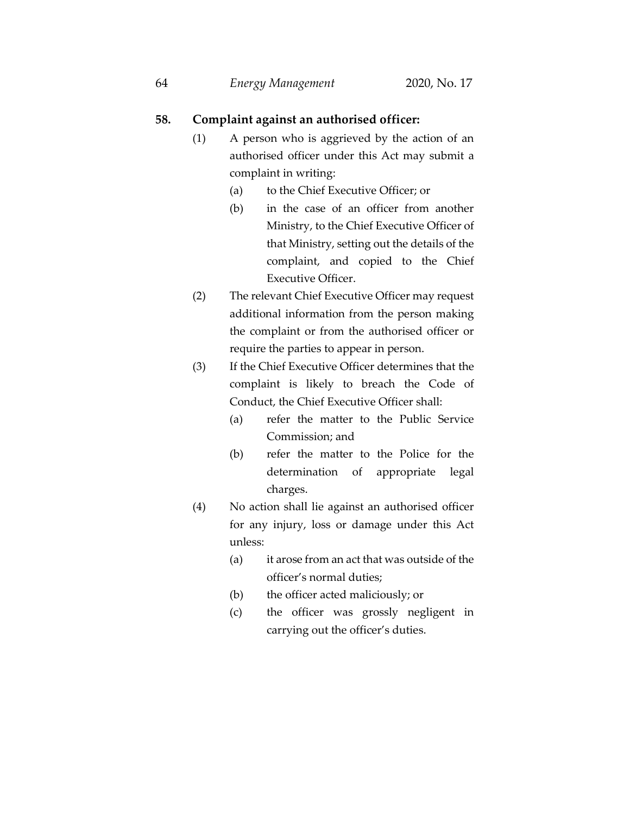### **58. Complaint against an authorised officer:**

- (1) A person who is aggrieved by the action of an authorised officer under this Act may submit a complaint in writing:
	- (a) to the Chief Executive Officer; or
	- (b) in the case of an officer from another Ministry, to the Chief Executive Officer of that Ministry, setting out the details of the complaint, and copied to the Chief Executive Officer.
- (2) The relevant Chief Executive Officer may request additional information from the person making the complaint or from the authorised officer or require the parties to appear in person.
- (3) If the Chief Executive Officer determines that the complaint is likely to breach the Code of Conduct, the Chief Executive Officer shall:
	- (a) refer the matter to the Public Service Commission; and
	- (b) refer the matter to the Police for the determination of appropriate legal charges.
- (4) No action shall lie against an authorised officer for any injury, loss or damage under this Act unless:
	- (a) it arose from an act that was outside of the officer's normal duties;
	- (b) the officer acted maliciously; or
	- (c) the officer was grossly negligent in carrying out the officer's duties.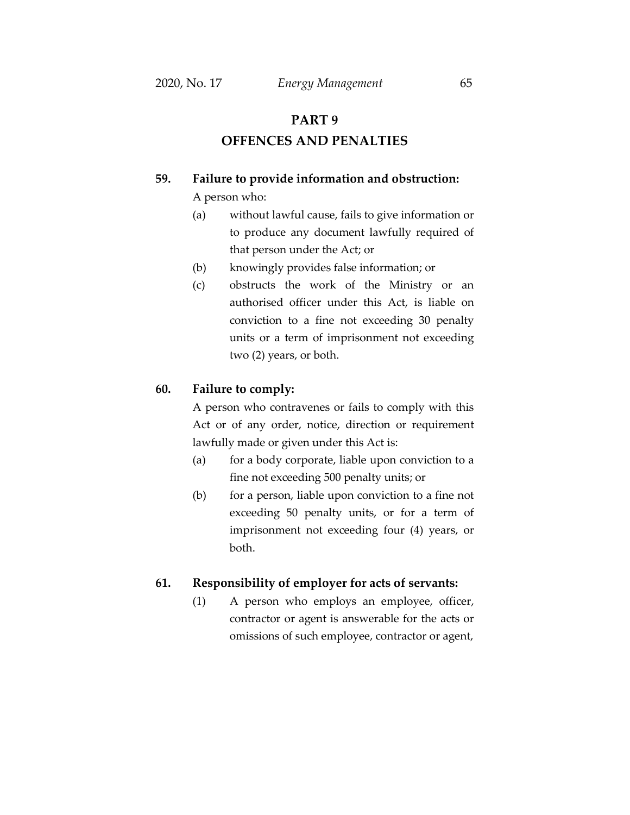# **PART 9**

# **OFFENCES AND PENALTIES**

# **59. Failure to provide information and obstruction:**

A person who:

- (a) without lawful cause, fails to give information or to produce any document lawfully required of that person under the Act; or
- (b) knowingly provides false information; or
- (c) obstructs the work of the Ministry or an authorised officer under this Act, is liable on conviction to a fine not exceeding 30 penalty units or a term of imprisonment not exceeding two (2) years, or both.

### **60. Failure to comply:**

A person who contravenes or fails to comply with this Act or of any order, notice, direction or requirement lawfully made or given under this Act is:

- (a) for a body corporate, liable upon conviction to a fine not exceeding 500 penalty units; or
- (b) for a person, liable upon conviction to a fine not exceeding 50 penalty units, or for a term of imprisonment not exceeding four (4) years, or both.

## **61. Responsibility of employer for acts of servants:**

(1) A person who employs an employee, officer, contractor or agent is answerable for the acts or omissions of such employee, contractor or agent,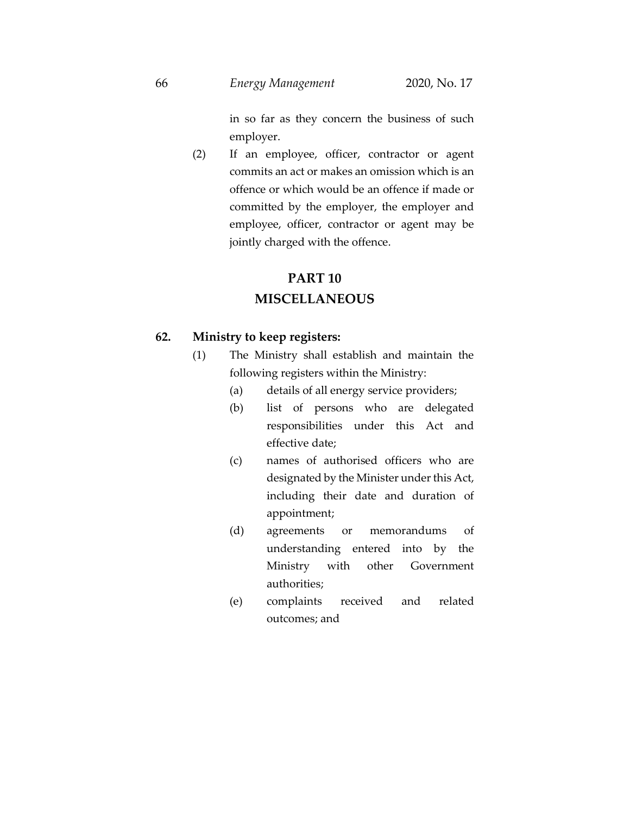in so far as they concern the business of such employer.

(2) If an employee, officer, contractor or agent commits an act or makes an omission which is an offence or which would be an offence if made or committed by the employer, the employer and employee, officer, contractor or agent may be jointly charged with the offence.

# **PART 10**

## **MISCELLANEOUS**

### **62. Ministry to keep registers:**

- (1) The Ministry shall establish and maintain the following registers within the Ministry:
	- (a) details of all energy service providers;
	- (b) list of persons who are delegated responsibilities under this Act and effective date;
	- (c) names of authorised officers who are designated by the Minister under this Act, including their date and duration of appointment;
	- (d) agreements or memorandums of understanding entered into by the Ministry with other Government authorities;
	- (e) complaints received and related outcomes; and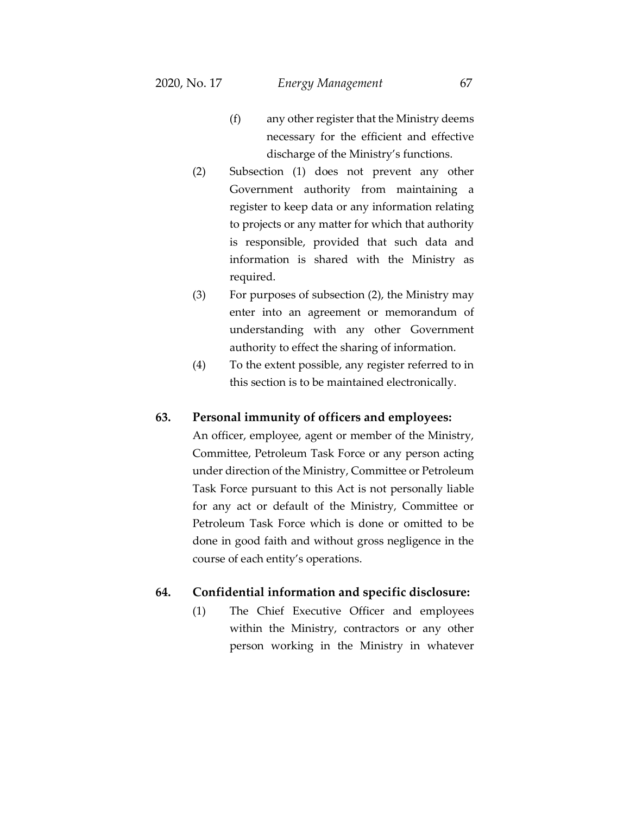- (f) any other register that the Ministry deems necessary for the efficient and effective discharge of the Ministry's functions.
- (2) Subsection (1) does not prevent any other Government authority from maintaining a register to keep data or any information relating to projects or any matter for which that authority is responsible, provided that such data and information is shared with the Ministry as required.
- (3) For purposes of subsection (2), the Ministry may enter into an agreement or memorandum of understanding with any other Government authority to effect the sharing of information.
- (4) To the extent possible, any register referred to in this section is to be maintained electronically.

### **63. Personal immunity of officers and employees:**

An officer, employee, agent or member of the Ministry, Committee, Petroleum Task Force or any person acting under direction of the Ministry, Committee or Petroleum Task Force pursuant to this Act is not personally liable for any act or default of the Ministry, Committee or Petroleum Task Force which is done or omitted to be done in good faith and without gross negligence in the course of each entity's operations.

### **64. Confidential information and specific disclosure:**

(1) The Chief Executive Officer and employees within the Ministry, contractors or any other person working in the Ministry in whatever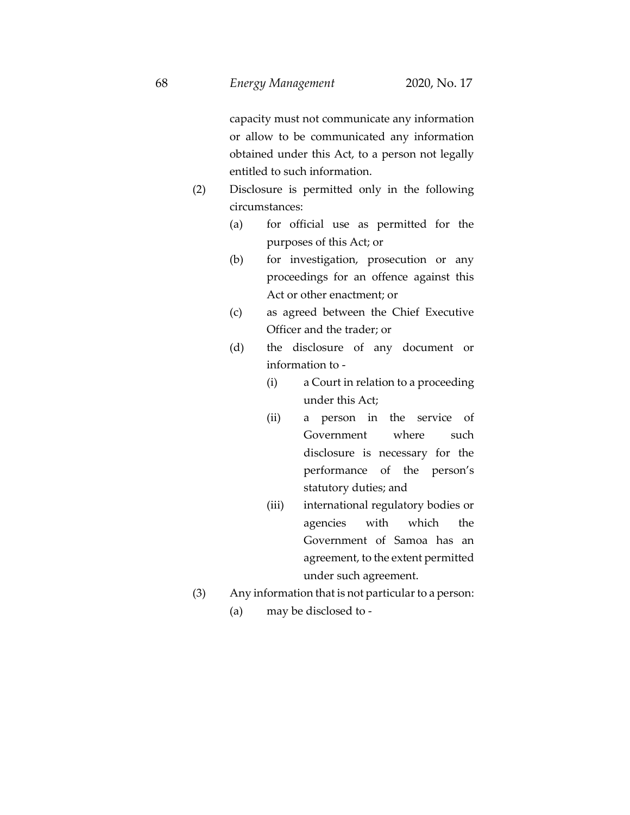capacity must not communicate any information or allow to be communicated any information obtained under this Act, to a person not legally entitled to such information.

- (2) Disclosure is permitted only in the following circumstances:
	- (a) for official use as permitted for the purposes of this Act; or
	- (b) for investigation, prosecution or any proceedings for an offence against this Act or other enactment; or
	- (c) as agreed between the Chief Executive Officer and the trader; or
	- (d) the disclosure of any document or information to -
		- (i) a Court in relation to a proceeding under this Act;
		- (ii) a person in the service of Government where such disclosure is necessary for the performance of the person's statutory duties; and
		- (iii) international regulatory bodies or agencies with which the Government of Samoa has an agreement, to the extent permitted under such agreement.
- (3) Any information that is not particular to a person:
	- (a) may be disclosed to -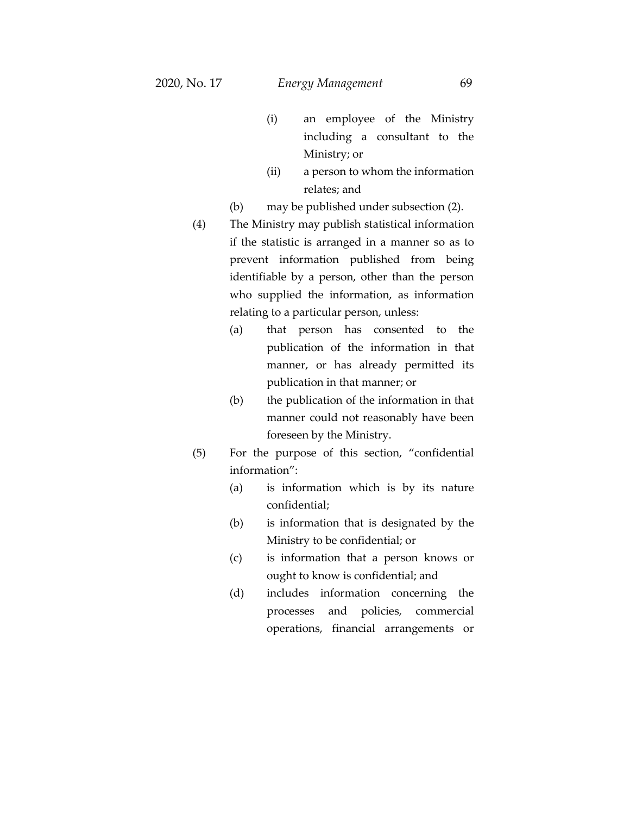- (i) an employee of the Ministry including a consultant to the Ministry; or
- (ii) a person to whom the information relates; and
- (b) may be published under subsection (2).
- (4) The Ministry may publish statistical information if the statistic is arranged in a manner so as to prevent information published from being identifiable by a person, other than the person who supplied the information, as information relating to a particular person, unless:
	- (a) that person has consented to the publication of the information in that manner, or has already permitted its publication in that manner; or
	- (b) the publication of the information in that manner could not reasonably have been foreseen by the Ministry.
- (5) For the purpose of this section, "confidential information":
	- (a) is information which is by its nature confidential;
	- (b) is information that is designated by the Ministry to be confidential; or
	- (c) is information that a person knows or ought to know is confidential; and
	- (d) includes information concerning the processes and policies, commercial operations, financial arrangements or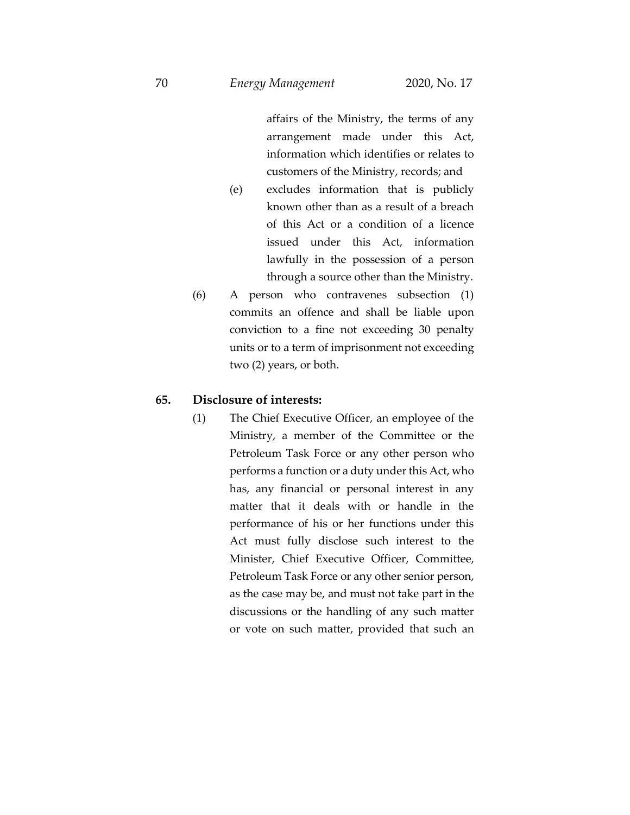affairs of the Ministry, the terms of any arrangement made under this Act, information which identifies or relates to customers of the Ministry, records; and

- (e) excludes information that is publicly known other than as a result of a breach of this Act or a condition of a licence issued under this Act, information lawfully in the possession of a person through a source other than the Ministry.
- (6) A person who contravenes subsection (1) commits an offence and shall be liable upon conviction to a fine not exceeding 30 penalty units or to a term of imprisonment not exceeding two (2) years, or both.

#### **65. Disclosure of interests:**

(1) The Chief Executive Officer, an employee of the Ministry, a member of the Committee or the Petroleum Task Force or any other person who performs a function or a duty under this Act, who has, any financial or personal interest in any matter that it deals with or handle in the performance of his or her functions under this Act must fully disclose such interest to the Minister, Chief Executive Officer, Committee, Petroleum Task Force or any other senior person, as the case may be, and must not take part in the discussions or the handling of any such matter or vote on such matter, provided that such an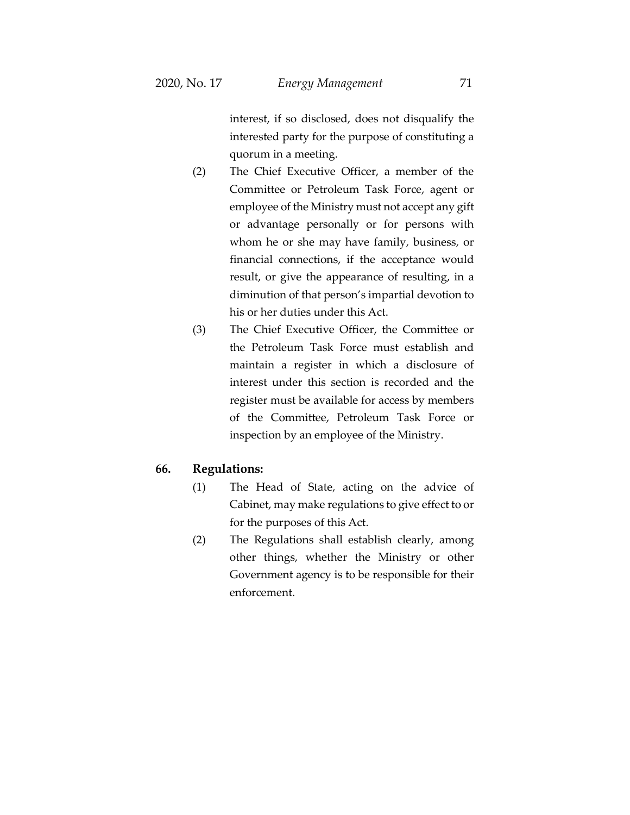interest, if so disclosed, does not disqualify the interested party for the purpose of constituting a quorum in a meeting.

- (2) The Chief Executive Officer, a member of the Committee or Petroleum Task Force, agent or employee of the Ministry must not accept any gift or advantage personally or for persons with whom he or she may have family, business, or financial connections, if the acceptance would result, or give the appearance of resulting, in a diminution of that person's impartial devotion to his or her duties under this Act.
- (3) The Chief Executive Officer, the Committee or the Petroleum Task Force must establish and maintain a register in which a disclosure of interest under this section is recorded and the register must be available for access by members of the Committee, Petroleum Task Force or inspection by an employee of the Ministry.

# **66. Regulations:**

- (1) The Head of State, acting on the advice of Cabinet, may make regulations to give effect to or for the purposes of this Act.
- (2) The Regulations shall establish clearly, among other things, whether the Ministry or other Government agency is to be responsible for their enforcement.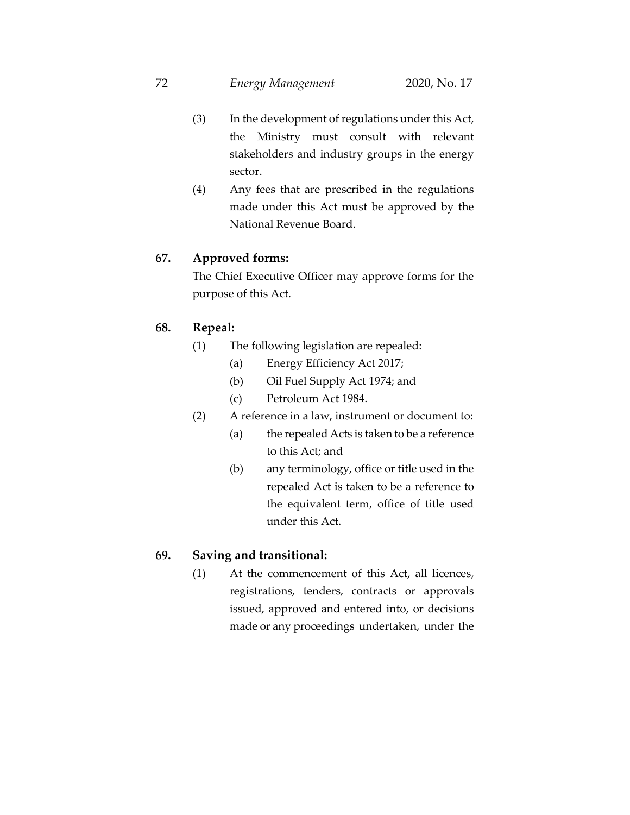- (3) In the development of regulations under this Act, the Ministry must consult with relevant stakeholders and industry groups in the energy sector.
- (4) Any fees that are prescribed in the regulations made under this Act must be approved by the National Revenue Board.

## **67. Approved forms:**

The Chief Executive Officer may approve forms for the purpose of this Act.

## **68. Repeal:**

- (1) The following legislation are repealed:
	- (a) Energy Efficiency Act 2017;
	- (b) Oil Fuel Supply Act 1974; and
	- (c) Petroleum Act 1984.
- (2) A reference in a law, instrument or document to:
	- (a) the repealed Acts is taken to be a reference to this Act; and
	- (b) any terminology, office or title used in the repealed Act is taken to be a reference to the equivalent term, office of title used under this Act.

# **69. Saving and transitional:**

(1) At the commencement of this Act, all licences, registrations, tenders, contracts or approvals issued, approved and entered into, or decisions made or any proceedings undertaken, under the